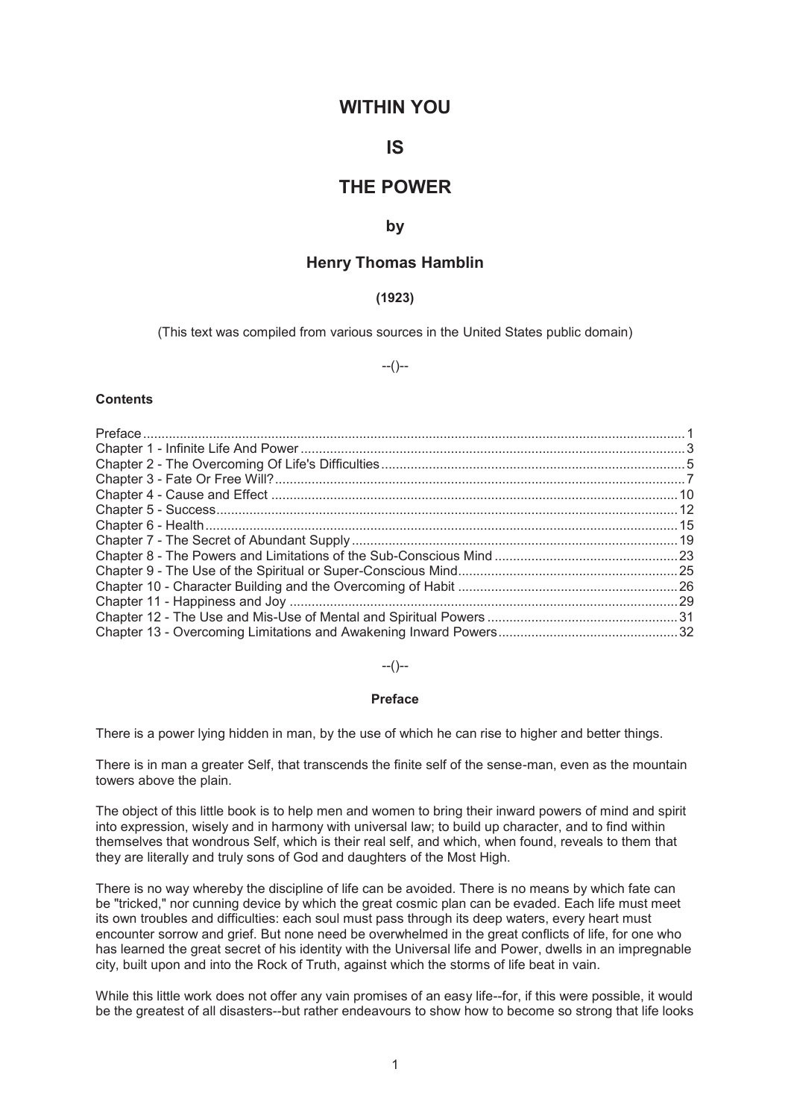# **WITHIN YOU**

# **IS**

# **THE POWER**

## **by**

# **Henry Thomas Hamblin**

# **(1923)**

(This text was compiled from various sources in the United States public domain)

# --()--

# **Contents**

--()--

#### **Preface**

There is a power lying hidden in man, by the use of which he can rise to higher and better things.

There is in man a greater Self, that transcends the finite self of the sense-man, even as the mountain towers above the plain.

The object of this little book is to help men and women to bring their inward powers of mind and spirit into expression, wisely and in harmony with universal law; to build up character, and to find within themselves that wondrous Self, which is their real self, and which, when found, reveals to them that they are literally and truly sons of God and daughters of the Most High.

There is no way whereby the discipline of life can be avoided. There is no means by which fate can be "tricked," nor cunning device by which the great cosmic plan can be evaded. Each life must meet its own troubles and difficulties: each soul must pass through its deep waters, every heart must encounter sorrow and grief. But none need be overwhelmed in the great conflicts of life, for one who has learned the great secret of his identity with the Universal life and Power, dwells in an impregnable city, built upon and into the Rock of Truth, against which the storms of life beat in vain.

While this little work does not offer any vain promises of an easy life--for, if this were possible, it would be the greatest of all disasters--but rather endeavours to show how to become so strong that life looks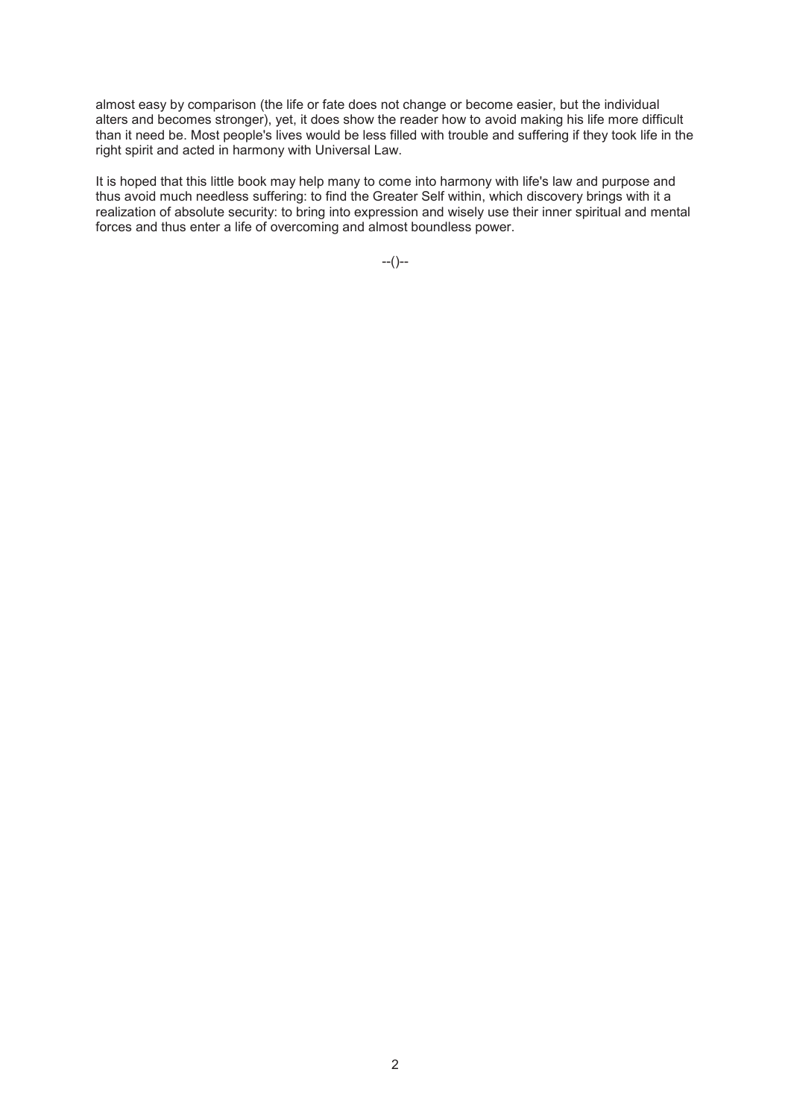almost easy by comparison (the life or fate does not change or become easier, but the individual alters and becomes stronger), yet, it does show the reader how to avoid making his life more difficult than it need be. Most people's lives would be less filled with trouble and suffering if they took life in the right spirit and acted in harmony with Universal Law.

It is hoped that this little book may help many to come into harmony with life's law and purpose and thus avoid much needless suffering: to find the Greater Self within, which discovery brings with it a realization of absolute security: to bring into expression and wisely use their inner spiritual and mental forces and thus enter a life of overcoming and almost boundless power.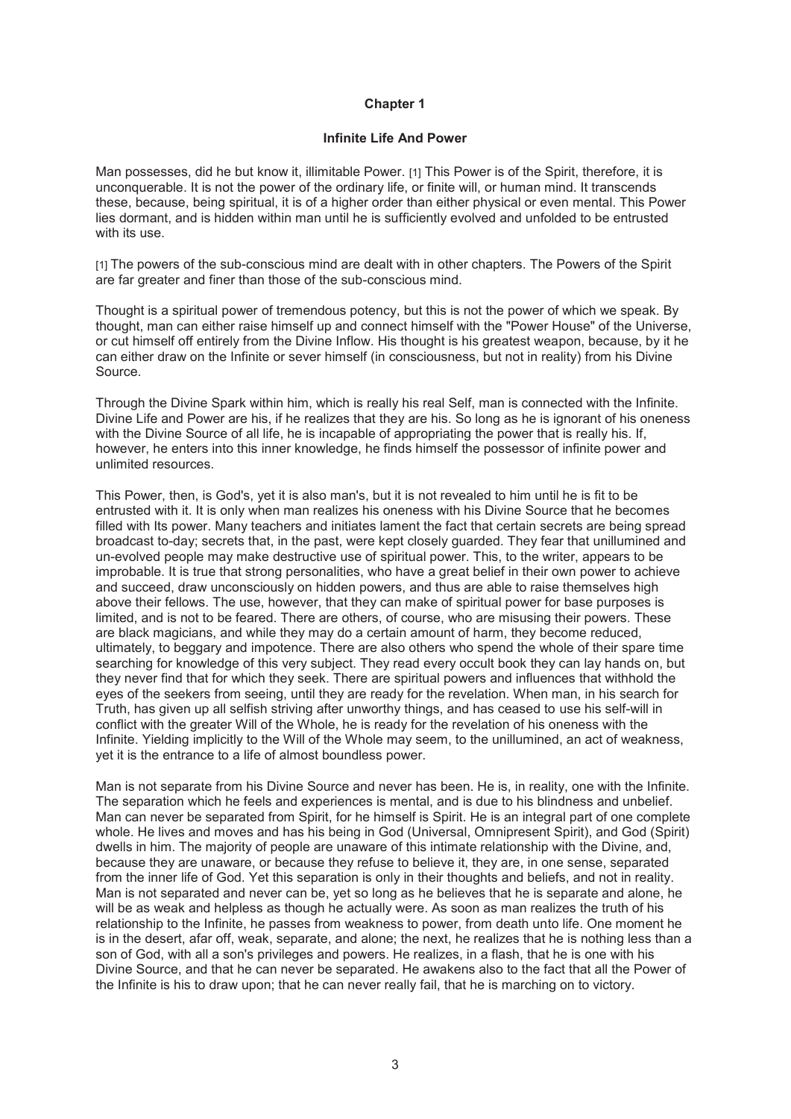#### **Infinite Life And Power**

Man possesses, did he but know it, illimitable Power. [1] This Power is of the Spirit, therefore, it is unconquerable. It is not the power of the ordinary life, or finite will, or human mind. It transcends these, because, being spiritual, it is of a higher order than either physical or even mental. This Power lies dormant, and is hidden within man until he is sufficiently evolved and unfolded to be entrusted with its use.

[1] The powers of the sub-conscious mind are dealt with in other chapters. The Powers of the Spirit are far greater and finer than those of the sub-conscious mind.

Thought is a spiritual power of tremendous potency, but this is not the power of which we speak. By thought, man can either raise himself up and connect himself with the "Power House" of the Universe, or cut himself off entirely from the Divine Inflow. His thought is his greatest weapon, because, by it he can either draw on the Infinite or sever himself (in consciousness, but not in reality) from his Divine Source.

Through the Divine Spark within him, which is really his real Self, man is connected with the Infinite. Divine Life and Power are his, if he realizes that they are his. So long as he is ignorant of his oneness with the Divine Source of all life, he is incapable of appropriating the power that is really his. If, however, he enters into this inner knowledge, he finds himself the possessor of infinite power and unlimited resources.

This Power, then, is God's, yet it is also man's, but it is not revealed to him until he is fit to be entrusted with it. It is only when man realizes his oneness with his Divine Source that he becomes filled with Its power. Many teachers and initiates lament the fact that certain secrets are being spread broadcast to-day; secrets that, in the past, were kept closely guarded. They fear that unillumined and un-evolved people may make destructive use of spiritual power. This, to the writer, appears to be improbable. It is true that strong personalities, who have a great belief in their own power to achieve and succeed, draw unconsciously on hidden powers, and thus are able to raise themselves high above their fellows. The use, however, that they can make of spiritual power for base purposes is limited, and is not to be feared. There are others, of course, who are misusing their powers. These are black magicians, and while they may do a certain amount of harm, they become reduced, ultimately, to beggary and impotence. There are also others who spend the whole of their spare time searching for knowledge of this very subject. They read every occult book they can lay hands on, but they never find that for which they seek. There are spiritual powers and influences that withhold the eyes of the seekers from seeing, until they are ready for the revelation. When man, in his search for Truth, has given up all selfish striving after unworthy things, and has ceased to use his self-will in conflict with the greater Will of the Whole, he is ready for the revelation of his oneness with the Infinite. Yielding implicitly to the Will of the Whole may seem, to the unillumined, an act of weakness, yet it is the entrance to a life of almost boundless power.

Man is not separate from his Divine Source and never has been. He is, in reality, one with the Infinite. The separation which he feels and experiences is mental, and is due to his blindness and unbelief. Man can never be separated from Spirit, for he himself is Spirit. He is an integral part of one complete whole. He lives and moves and has his being in God (Universal, Omnipresent Spirit), and God (Spirit) dwells in him. The majority of people are unaware of this intimate relationship with the Divine, and, because they are unaware, or because they refuse to believe it, they are, in one sense, separated from the inner life of God. Yet this separation is only in their thoughts and beliefs, and not in reality. Man is not separated and never can be, yet so long as he believes that he is separate and alone, he will be as weak and helpless as though he actually were. As soon as man realizes the truth of his relationship to the Infinite, he passes from weakness to power, from death unto life. One moment he is in the desert, afar off, weak, separate, and alone; the next, he realizes that he is nothing less than a son of God, with all a son's privileges and powers. He realizes, in a flash, that he is one with his Divine Source, and that he can never be separated. He awakens also to the fact that all the Power of the Infinite is his to draw upon; that he can never really fail, that he is marching on to victory.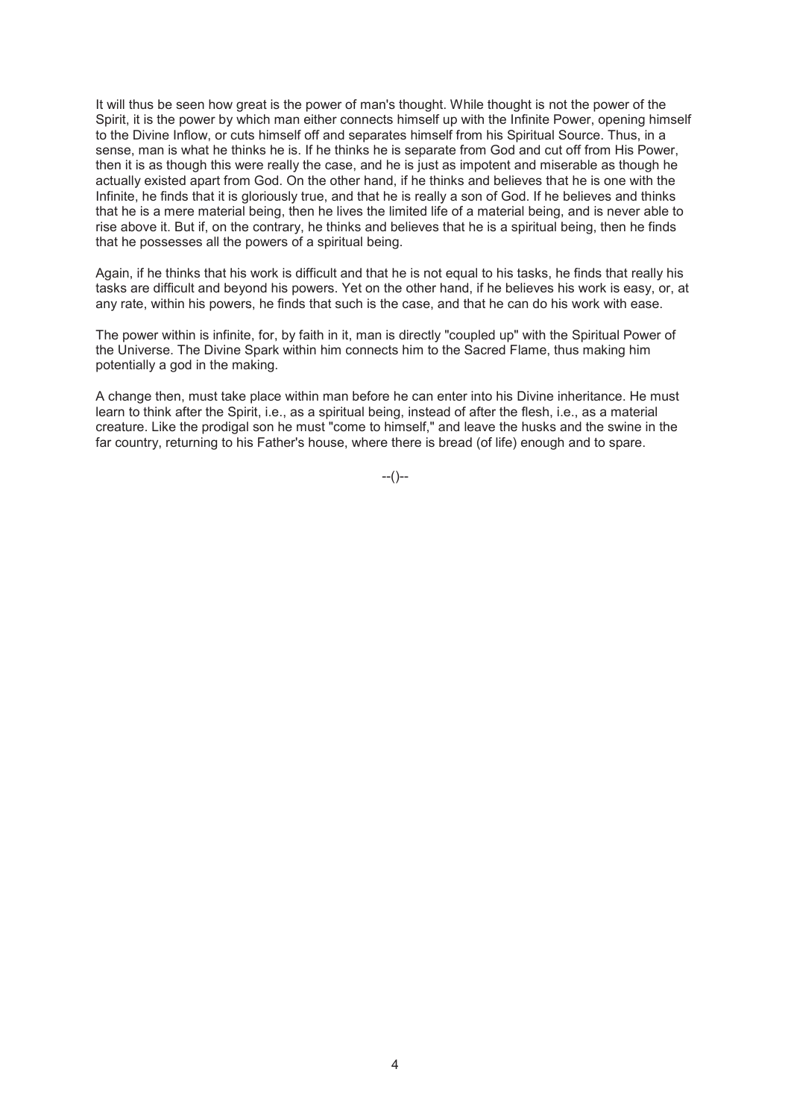It will thus be seen how great is the power of man's thought. While thought is not the power of the Spirit, it is the power by which man either connects himself up with the Infinite Power, opening himself to the Divine Inflow, or cuts himself off and separates himself from his Spiritual Source. Thus, in a sense, man is what he thinks he is. If he thinks he is separate from God and cut off from His Power, then it is as though this were really the case, and he is just as impotent and miserable as though he actually existed apart from God. On the other hand, if he thinks and believes that he is one with the Infinite, he finds that it is gloriously true, and that he is really a son of God. If he believes and thinks that he is a mere material being, then he lives the limited life of a material being, and is never able to rise above it. But if, on the contrary, he thinks and believes that he is a spiritual being, then he finds that he possesses all the powers of a spiritual being.

Again, if he thinks that his work is difficult and that he is not equal to his tasks, he finds that really his tasks are difficult and beyond his powers. Yet on the other hand, if he believes his work is easy, or, at any rate, within his powers, he finds that such is the case, and that he can do his work with ease.

The power within is infinite, for, by faith in it, man is directly "coupled up" with the Spiritual Power of the Universe. The Divine Spark within him connects him to the Sacred Flame, thus making him potentially a god in the making.

A change then, must take place within man before he can enter into his Divine inheritance. He must learn to think after the Spirit, i.e., as a spiritual being, instead of after the flesh, i.e., as a material creature. Like the prodigal son he must "come to himself," and leave the husks and the swine in the far country, returning to his Father's house, where there is bread (of life) enough and to spare.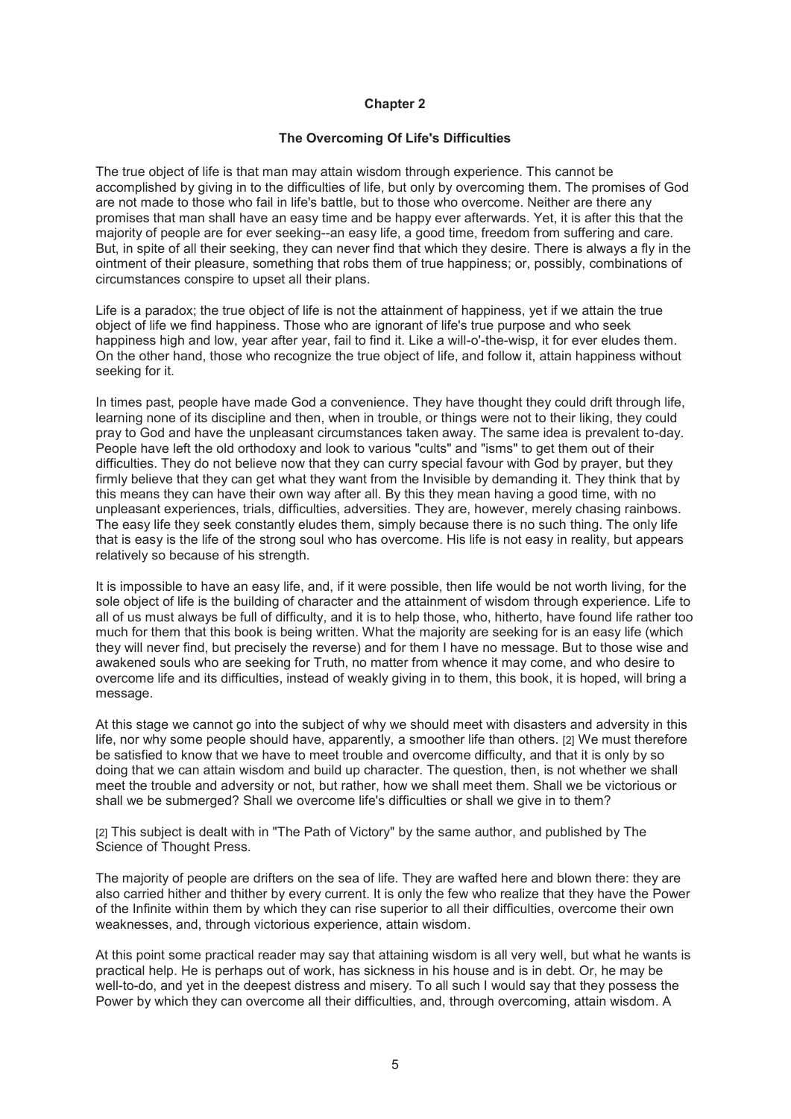# **The Overcoming Of Life's Difficulties**

The true object of life is that man may attain wisdom through experience. This cannot be accomplished by giving in to the difficulties of life, but only by overcoming them. The promises of God are not made to those who fail in life's battle, but to those who overcome. Neither are there any promises that man shall have an easy time and be happy ever afterwards. Yet, it is after this that the majority of people are for ever seeking--an easy life, a good time, freedom from suffering and care. But, in spite of all their seeking, they can never find that which they desire. There is always a fly in the ointment of their pleasure, something that robs them of true happiness; or, possibly, combinations of circumstances conspire to upset all their plans.

Life is a paradox; the true object of life is not the attainment of happiness, yet if we attain the true object of life we find happiness. Those who are ignorant of life's true purpose and who seek happiness high and low, year after year, fail to find it. Like a will-o'-the-wisp, it for ever eludes them. On the other hand, those who recognize the true object of life, and follow it, attain happiness without seeking for it.

In times past, people have made God a convenience. They have thought they could drift through life, learning none of its discipline and then, when in trouble, or things were not to their liking, they could pray to God and have the unpleasant circumstances taken away. The same idea is prevalent to-day. People have left the old orthodoxy and look to various "cults" and "isms" to get them out of their difficulties. They do not believe now that they can curry special favour with God by prayer, but they firmly believe that they can get what they want from the Invisible by demanding it. They think that by this means they can have their own way after all. By this they mean having a good time, with no unpleasant experiences, trials, difficulties, adversities. They are, however, merely chasing rainbows. The easy life they seek constantly eludes them, simply because there is no such thing. The only life that is easy is the life of the strong soul who has overcome. His life is not easy in reality, but appears relatively so because of his strength.

It is impossible to have an easy life, and, if it were possible, then life would be not worth living, for the sole object of life is the building of character and the attainment of wisdom through experience. Life to all of us must always be full of difficulty, and it is to help those, who, hitherto, have found life rather too much for them that this book is being written. What the majority are seeking for is an easy life (which they will never find, but precisely the reverse) and for them I have no message. But to those wise and awakened souls who are seeking for Truth, no matter from whence it may come, and who desire to overcome life and its difficulties, instead of weakly giving in to them, this book, it is hoped, will bring a message.

At this stage we cannot go into the subject of why we should meet with disasters and adversity in this life, nor why some people should have, apparently, a smoother life than others. [2] We must therefore be satisfied to know that we have to meet trouble and overcome difficulty, and that it is only by so doing that we can attain wisdom and build up character. The question, then, is not whether we shall meet the trouble and adversity or not, but rather, how we shall meet them. Shall we be victorious or shall we be submerged? Shall we overcome life's difficulties or shall we give in to them?

[2] This subject is dealt with in "The Path of Victory" by the same author, and published by The Science of Thought Press.

The majority of people are drifters on the sea of life. They are wafted here and blown there: they are also carried hither and thither by every current. It is only the few who realize that they have the Power of the Infinite within them by which they can rise superior to all their difficulties, overcome their own weaknesses, and, through victorious experience, attain wisdom.

At this point some practical reader may say that attaining wisdom is all very well, but what he wants is practical help. He is perhaps out of work, has sickness in his house and is in debt. Or, he may be well-to-do, and yet in the deepest distress and misery. To all such I would say that they possess the Power by which they can overcome all their difficulties, and, through overcoming, attain wisdom. A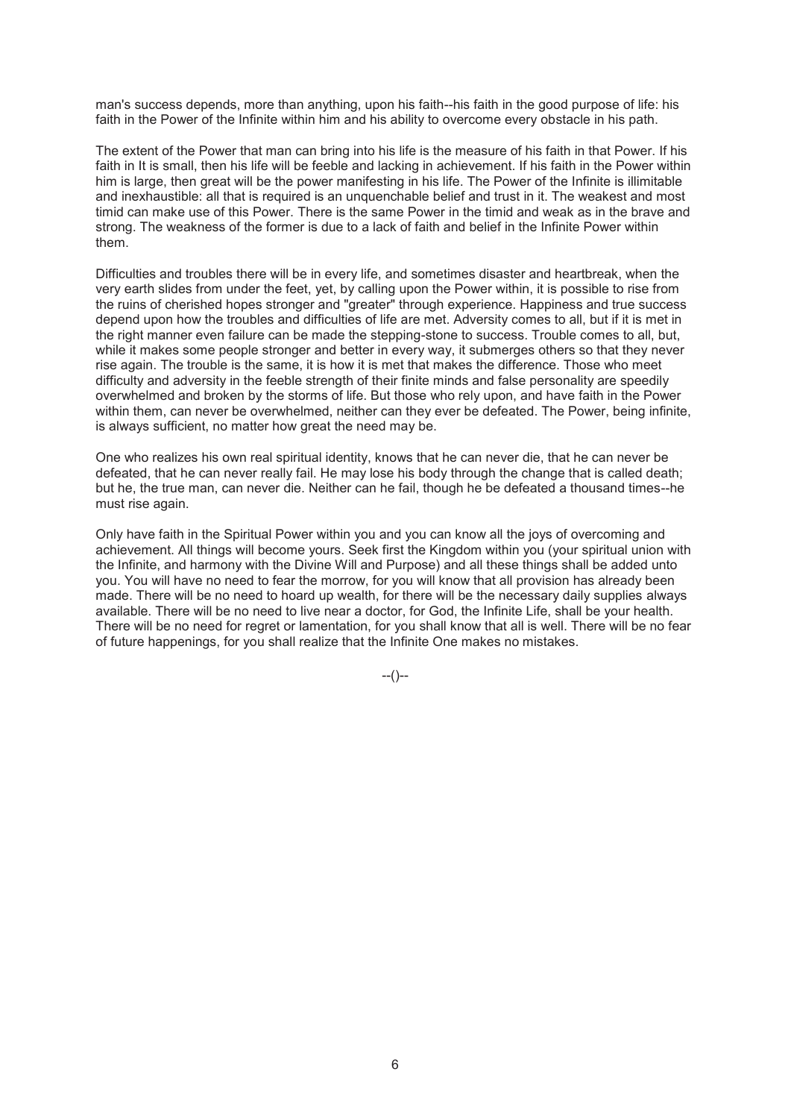man's success depends, more than anything, upon his faith--his faith in the good purpose of life: his faith in the Power of the Infinite within him and his ability to overcome every obstacle in his path.

The extent of the Power that man can bring into his life is the measure of his faith in that Power. If his faith in It is small, then his life will be feeble and lacking in achievement. If his faith in the Power within him is large, then great will be the power manifesting in his life. The Power of the Infinite is illimitable and inexhaustible: all that is required is an unquenchable belief and trust in it. The weakest and most timid can make use of this Power. There is the same Power in the timid and weak as in the brave and strong. The weakness of the former is due to a lack of faith and belief in the Infinite Power within them.

Difficulties and troubles there will be in every life, and sometimes disaster and heartbreak, when the very earth slides from under the feet, yet, by calling upon the Power within, it is possible to rise from the ruins of cherished hopes stronger and "greater" through experience. Happiness and true success depend upon how the troubles and difficulties of life are met. Adversity comes to all, but if it is met in the right manner even failure can be made the stepping-stone to success. Trouble comes to all, but, while it makes some people stronger and better in every way, it submerges others so that they never rise again. The trouble is the same, it is how it is met that makes the difference. Those who meet difficulty and adversity in the feeble strength of their finite minds and false personality are speedily overwhelmed and broken by the storms of life. But those who rely upon, and have faith in the Power within them, can never be overwhelmed, neither can they ever be defeated. The Power, being infinite, is always sufficient, no matter how great the need may be.

One who realizes his own real spiritual identity, knows that he can never die, that he can never be defeated, that he can never really fail. He may lose his body through the change that is called death; but he, the true man, can never die. Neither can he fail, though he be defeated a thousand times--he must rise again.

Only have faith in the Spiritual Power within you and you can know all the joys of overcoming and achievement. All things will become yours. Seek first the Kingdom within you (your spiritual union with the Infinite, and harmony with the Divine Will and Purpose) and all these things shall be added unto you. You will have no need to fear the morrow, for you will know that all provision has already been made. There will be no need to hoard up wealth, for there will be the necessary daily supplies always available. There will be no need to live near a doctor, for God, the Infinite Life, shall be your health. There will be no need for regret or lamentation, for you shall know that all is well. There will be no fear of future happenings, for you shall realize that the Infinite One makes no mistakes.

 $-(-)$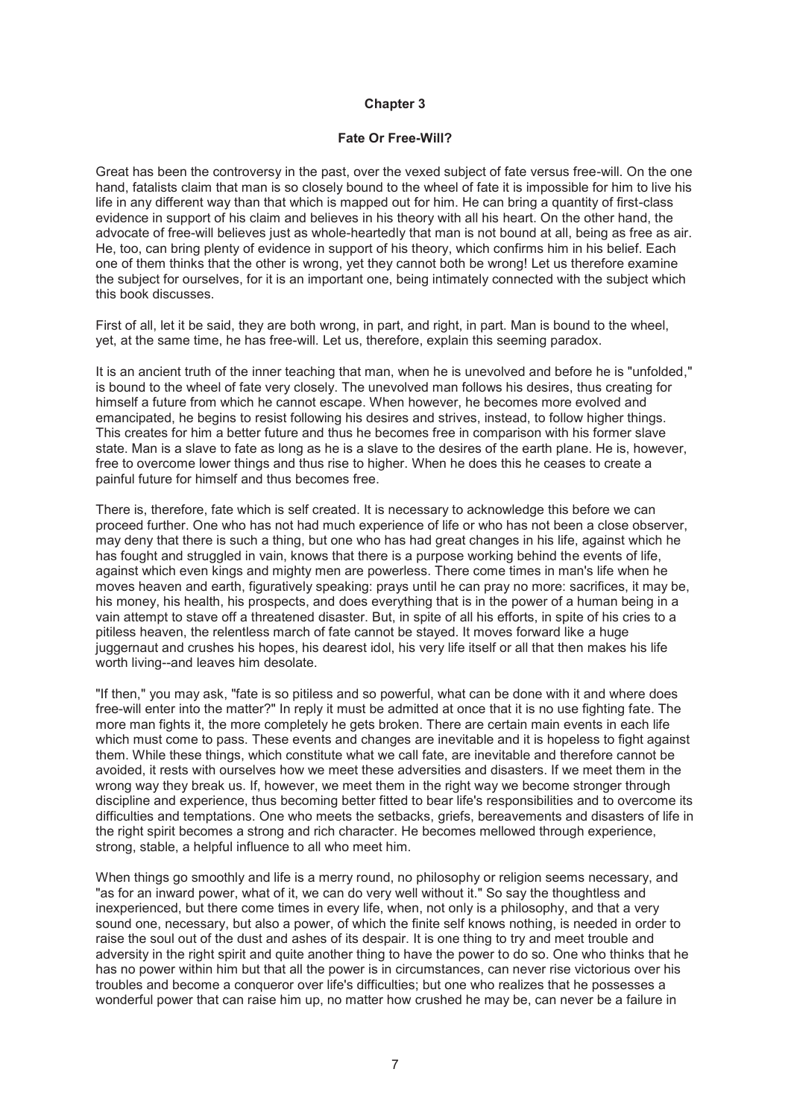#### **Fate Or Free-Will?**

Great has been the controversy in the past, over the vexed subject of fate versus free-will. On the one hand, fatalists claim that man is so closely bound to the wheel of fate it is impossible for him to live his life in any different way than that which is mapped out for him. He can bring a quantity of first-class evidence in support of his claim and believes in his theory with all his heart. On the other hand, the advocate of free-will believes just as whole-heartedly that man is not bound at all, being as free as air. He, too, can bring plenty of evidence in support of his theory, which confirms him in his belief. Each one of them thinks that the other is wrong, yet they cannot both be wrong! Let us therefore examine the subject for ourselves, for it is an important one, being intimately connected with the subject which this book discusses.

First of all, let it be said, they are both wrong, in part, and right, in part. Man is bound to the wheel, yet, at the same time, he has free-will. Let us, therefore, explain this seeming paradox.

It is an ancient truth of the inner teaching that man, when he is unevolved and before he is "unfolded," is bound to the wheel of fate very closely. The unevolved man follows his desires, thus creating for himself a future from which he cannot escape. When however, he becomes more evolved and emancipated, he begins to resist following his desires and strives, instead, to follow higher things. This creates for him a better future and thus he becomes free in comparison with his former slave state. Man is a slave to fate as long as he is a slave to the desires of the earth plane. He is, however, free to overcome lower things and thus rise to higher. When he does this he ceases to create a painful future for himself and thus becomes free.

There is, therefore, fate which is self created. It is necessary to acknowledge this before we can proceed further. One who has not had much experience of life or who has not been a close observer, may deny that there is such a thing, but one who has had great changes in his life, against which he has fought and struggled in vain, knows that there is a purpose working behind the events of life, against which even kings and mighty men are powerless. There come times in man's life when he moves heaven and earth, figuratively speaking: prays until he can pray no more: sacrifices, it may be, his money, his health, his prospects, and does everything that is in the power of a human being in a vain attempt to stave off a threatened disaster. But, in spite of all his efforts, in spite of his cries to a pitiless heaven, the relentless march of fate cannot be stayed. It moves forward like a huge juggernaut and crushes his hopes, his dearest idol, his very life itself or all that then makes his life worth living--and leaves him desolate.

"If then," you may ask, "fate is so pitiless and so powerful, what can be done with it and where does free-will enter into the matter?" In reply it must be admitted at once that it is no use fighting fate. The more man fights it, the more completely he gets broken. There are certain main events in each life which must come to pass. These events and changes are inevitable and it is hopeless to fight against them. While these things, which constitute what we call fate, are inevitable and therefore cannot be avoided, it rests with ourselves how we meet these adversities and disasters. If we meet them in the wrong way they break us. If, however, we meet them in the right way we become stronger through discipline and experience, thus becoming better fitted to bear life's responsibilities and to overcome its difficulties and temptations. One who meets the setbacks, griefs, bereavements and disasters of life in the right spirit becomes a strong and rich character. He becomes mellowed through experience, strong, stable, a helpful influence to all who meet him.

When things go smoothly and life is a merry round, no philosophy or religion seems necessary, and "as for an inward power, what of it, we can do very well without it." So say the thoughtless and inexperienced, but there come times in every life, when, not only is a philosophy, and that a very sound one, necessary, but also a power, of which the finite self knows nothing, is needed in order to raise the soul out of the dust and ashes of its despair. It is one thing to try and meet trouble and adversity in the right spirit and quite another thing to have the power to do so. One who thinks that he has no power within him but that all the power is in circumstances, can never rise victorious over his troubles and become a conqueror over life's difficulties; but one who realizes that he possesses a wonderful power that can raise him up, no matter how crushed he may be, can never be a failure in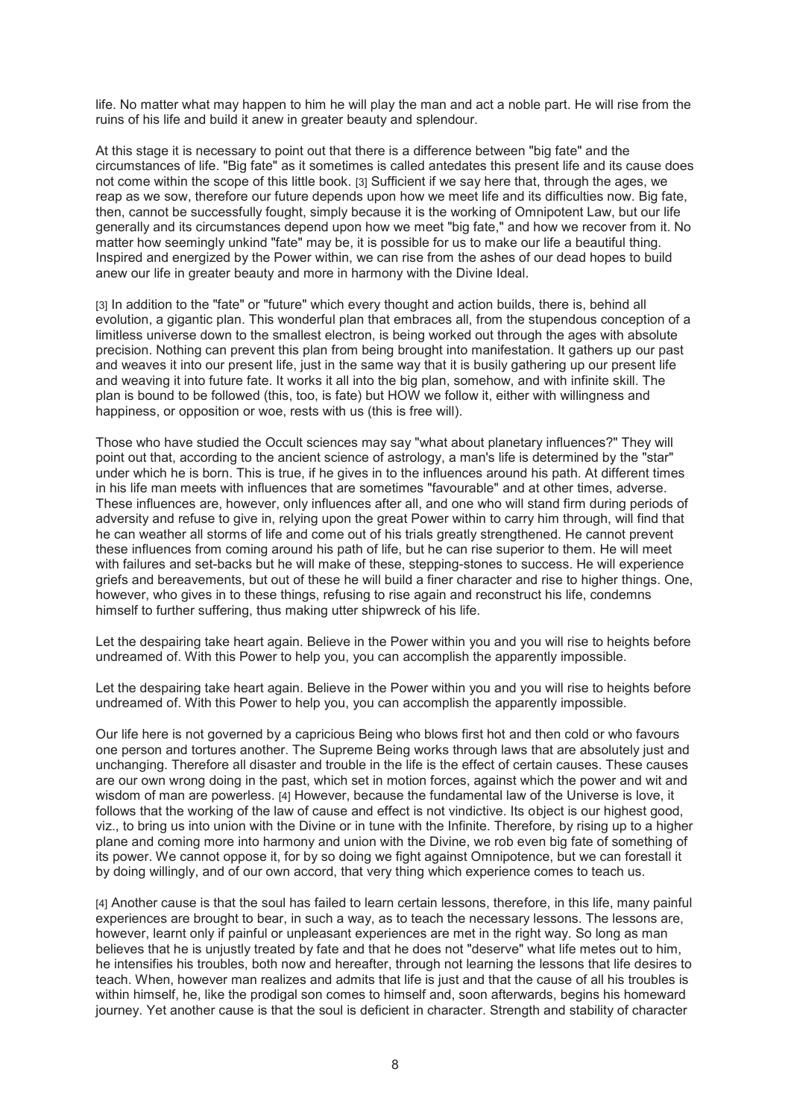life. No matter what may happen to him he will play the man and act a noble part. He will rise from the ruins of his life and build it anew in greater beauty and splendour.

At this stage it is necessary to point out that there is a difference between "big fate" and the circumstances of life. "Big fate" as it sometimes is called antedates this present life and its cause does not come within the scope of this little book. [3] Sufficient if we say here that, through the ages, we reap as we sow, therefore our future depends upon how we meet life and its difficulties now. Big fate, then, cannot be successfully fought, simply because it is the working of Omnipotent Law, but our life generally and its circumstances depend upon how we meet "big fate," and how we recover from it. No matter how seemingly unkind "fate" may be, it is possible for us to make our life a beautiful thing. Inspired and energized by the Power within, we can rise from the ashes of our dead hopes to build anew our life in greater beauty and more in harmony with the Divine Ideal.

[3] In addition to the "fate" or "future" which every thought and action builds, there is, behind all evolution, a gigantic plan. This wonderful plan that embraces all, from the stupendous conception of a limitless universe down to the smallest electron, is being worked out through the ages with absolute precision. Nothing can prevent this plan from being brought into manifestation. It gathers up our past and weaves it into our present life, just in the same way that it is busily gathering up our present life and weaving it into future fate. It works it all into the big plan, somehow, and with infinite skill. The plan is bound to be followed (this, too, is fate) but HOW we follow it, either with willingness and happiness, or opposition or woe, rests with us (this is free will).

Those who have studied the Occult sciences may say "what about planetary influences?" They will point out that, according to the ancient science of astrology, a man's life is determined by the "star" under which he is born. This is true, if he gives in to the influences around his path. At different times in his life man meets with influences that are sometimes "favourable" and at other times, adverse. These influences are, however, only influences after all, and one who will stand firm during periods of adversity and refuse to give in, relying upon the great Power within to carry him through, will find that he can weather all storms of life and come out of his trials greatly strengthened. He cannot prevent these influences from coming around his path of life, but he can rise superior to them. He will meet with failures and set-backs but he will make of these, stepping-stones to success. He will experience griefs and bereavements, but out of these he will build a finer character and rise to higher things. One, however, who gives in to these things, refusing to rise again and reconstruct his life, condemns himself to further suffering, thus making utter shipwreck of his life.

Let the despairing take heart again. Believe in the Power within you and you will rise to heights before undreamed of. With this Power to help you, you can accomplish the apparently impossible.

Let the despairing take heart again. Believe in the Power within you and you will rise to heights before undreamed of. With this Power to help you, you can accomplish the apparently impossible.

Our life here is not governed by a capricious Being who blows first hot and then cold or who favours one person and tortures another. The Supreme Being works through laws that are absolutely just and unchanging. Therefore all disaster and trouble in the life is the effect of certain causes. These causes are our own wrong doing in the past, which set in motion forces, against which the power and wit and wisdom of man are powerless. [4] However, because the fundamental law of the Universe is love, it follows that the working of the law of cause and effect is not vindictive. Its object is our highest good, viz., to bring us into union with the Divine or in tune with the Infinite. Therefore, by rising up to a higher plane and coming more into harmony and union with the Divine, we rob even big fate of something of its power. We cannot oppose it, for by so doing we fight against Omnipotence, but we can forestall it by doing willingly, and of our own accord, that very thing which experience comes to teach us.

[4] Another cause is that the soul has failed to learn certain lessons, therefore, in this life, many painful experiences are brought to bear, in such a way, as to teach the necessary lessons. The lessons are, however, learnt only if painful or unpleasant experiences are met in the right way. So long as man believes that he is unjustly treated by fate and that he does not "deserve" what life metes out to him, he intensifies his troubles, both now and hereafter, through not learning the lessons that life desires to teach. When, however man realizes and admits that life is just and that the cause of all his troubles is within himself, he, like the prodigal son comes to himself and, soon afterwards, begins his homeward journey. Yet another cause is that the soul is deficient in character. Strength and stability of character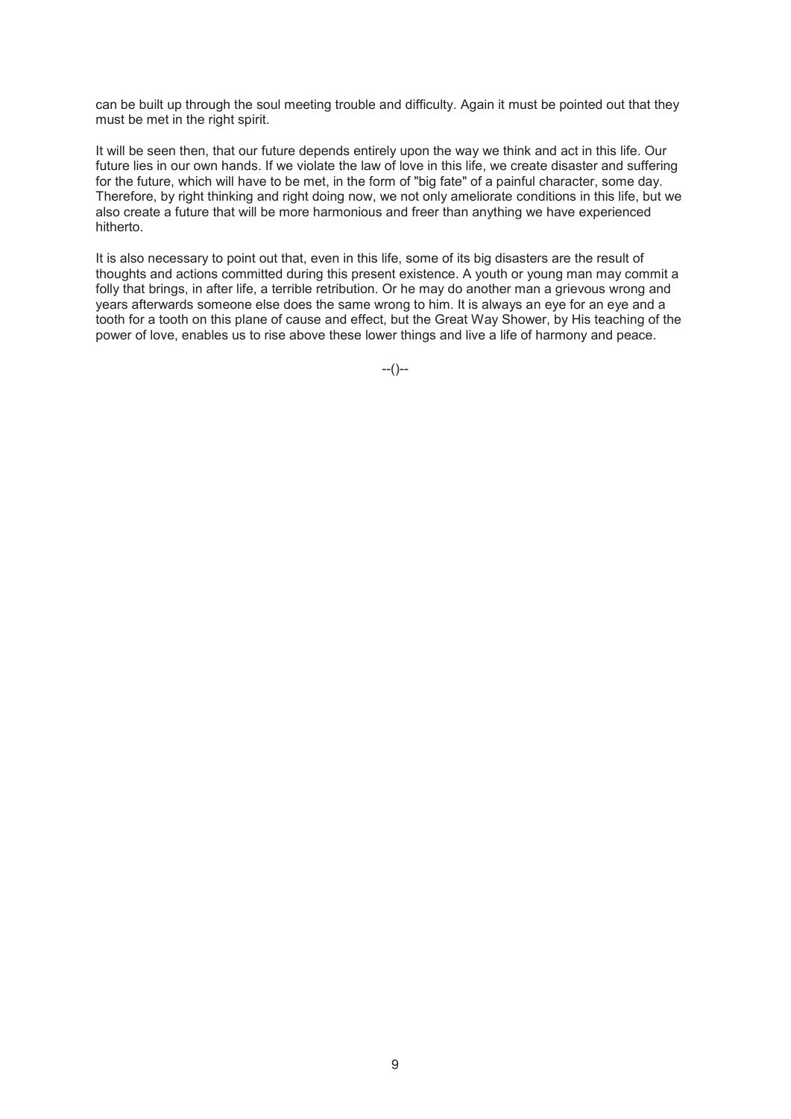can be built up through the soul meeting trouble and difficulty. Again it must be pointed out that they must be met in the right spirit.

It will be seen then, that our future depends entirely upon the way we think and act in this life. Our future lies in our own hands. If we violate the law of love in this life, we create disaster and suffering for the future, which will have to be met, in the form of "big fate" of a painful character, some day. Therefore, by right thinking and right doing now, we not only ameliorate conditions in this life, but we also create a future that will be more harmonious and freer than anything we have experienced hitherto.

It is also necessary to point out that, even in this life, some of its big disasters are the result of thoughts and actions committed during this present existence. A youth or young man may commit a folly that brings, in after life, a terrible retribution. Or he may do another man a grievous wrong and years afterwards someone else does the same wrong to him. It is always an eye for an eye and a tooth for a tooth on this plane of cause and effect, but the Great Way Shower, by His teaching of the power of love, enables us to rise above these lower things and live a life of harmony and peace.

 $-(-)$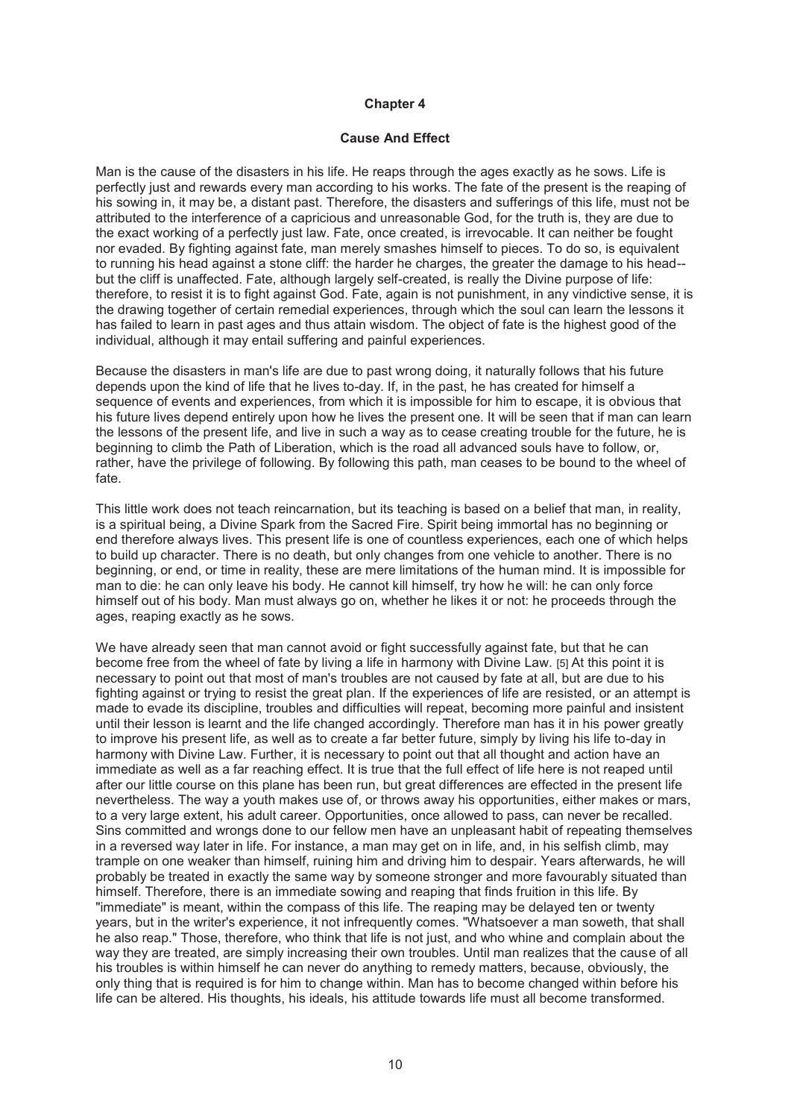#### **Cause And Effect**

Man is the cause of the disasters in his life. He reaps through the ages exactly as he sows. Life is perfectly just and rewards every man according to his works. The fate of the present is the reaping of his sowing in, it may be, a distant past. Therefore, the disasters and sufferings of this life, must not be attributed to the interference of a capricious and unreasonable God, for the truth is, they are due to the exact working of a perfectly just law. Fate, once created, is irrevocable. It can neither be fought nor evaded. By fighting against fate, man merely smashes himself to pieces. To do so, is equivalent to running his head against a stone cliff: the harder he charges, the greater the damage to his head- but the cliff is unaffected. Fate, although largely self-created, is really the Divine purpose of life: therefore, to resist it is to fight against God. Fate, again is not punishment, in any vindictive sense, it is the drawing together of certain remedial experiences, through which the soul can learn the lessons it has failed to learn in past ages and thus attain wisdom. The object of fate is the highest good of the individual, although it may entail suffering and painful experiences.

Because the disasters in man's life are due to past wrong doing, it naturally follows that his future depends upon the kind of life that he lives to-day. If, in the past, he has created for himself a sequence of events and experiences, from which it is impossible for him to escape, it is obvious that his future lives depend entirely upon how he lives the present one. It will be seen that if man can learn the lessons of the present life, and live in such a way as to cease creating trouble for the future, he is beginning to climb the Path of Liberation, which is the road all advanced souls have to follow, or, rather, have the privilege of following. By following this path, man ceases to be bound to the wheel of fate.

This little work does not teach reincarnation, but its teaching is based on a belief that man, in reality, is a spiritual being, a Divine Spark from the Sacred Fire. Spirit being immortal has no beginning or end therefore always lives. This present life is one of countless experiences, each one of which helps to build up character. There is no death, but only changes from one vehicle to another. There is no beginning, or end, or time in reality, these are mere limitations of the human mind. It is impossible for man to die: he can only leave his body. He cannot kill himself, try how he will: he can only force himself out of his body. Man must always go on, whether he likes it or not: he proceeds through the ages, reaping exactly as he sows.

We have already seen that man cannot avoid or fight successfully against fate, but that he can become free from the wheel of fate by living a life in harmony with Divine Law. [5] At this point it is necessary to point out that most of man's troubles are not caused by fate at all, but are due to his fighting against or trying to resist the great plan. If the experiences of life are resisted, or an attempt is made to evade its discipline, troubles and difficulties will repeat, becoming more painful and insistent until their lesson is learnt and the life changed accordingly. Therefore man has it in his power greatly to improve his present life, as well as to create a far better future, simply by living his life to-day in harmony with Divine Law. Further, it is necessary to point out that all thought and action have an immediate as well as a far reaching effect. It is true that the full effect of life here is not reaped until after our little course on this plane has been run, but great differences are effected in the present life nevertheless. The way a youth makes use of, or throws away his opportunities, either makes or mars, to a very large extent, his adult career. Opportunities, once allowed to pass, can never be recalled. Sins committed and wrongs done to our fellow men have an unpleasant habit of repeating themselves in a reversed way later in life. For instance, a man may get on in life, and, in his selfish climb, may trample on one weaker than himself, ruining him and driving him to despair. Years afterwards, he will probably be treated in exactly the same way by someone stronger and more favourably situated than himself. Therefore, there is an immediate sowing and reaping that finds fruition in this life. By "immediate" is meant, within the compass of this life. The reaping may be delayed ten or twenty years, but in the writer's experience, it not infrequently comes. "Whatsoever a man soweth, that shall he also reap." Those, therefore, who think that life is not just, and who whine and complain about the way they are treated, are simply increasing their own troubles. Until man realizes that the cause of all his troubles is within himself he can never do anything to remedy matters, because, obviously, the only thing that is required is for him to change within. Man has to become changed within before his life can be altered. His thoughts, his ideals, his attitude towards life must all become transformed.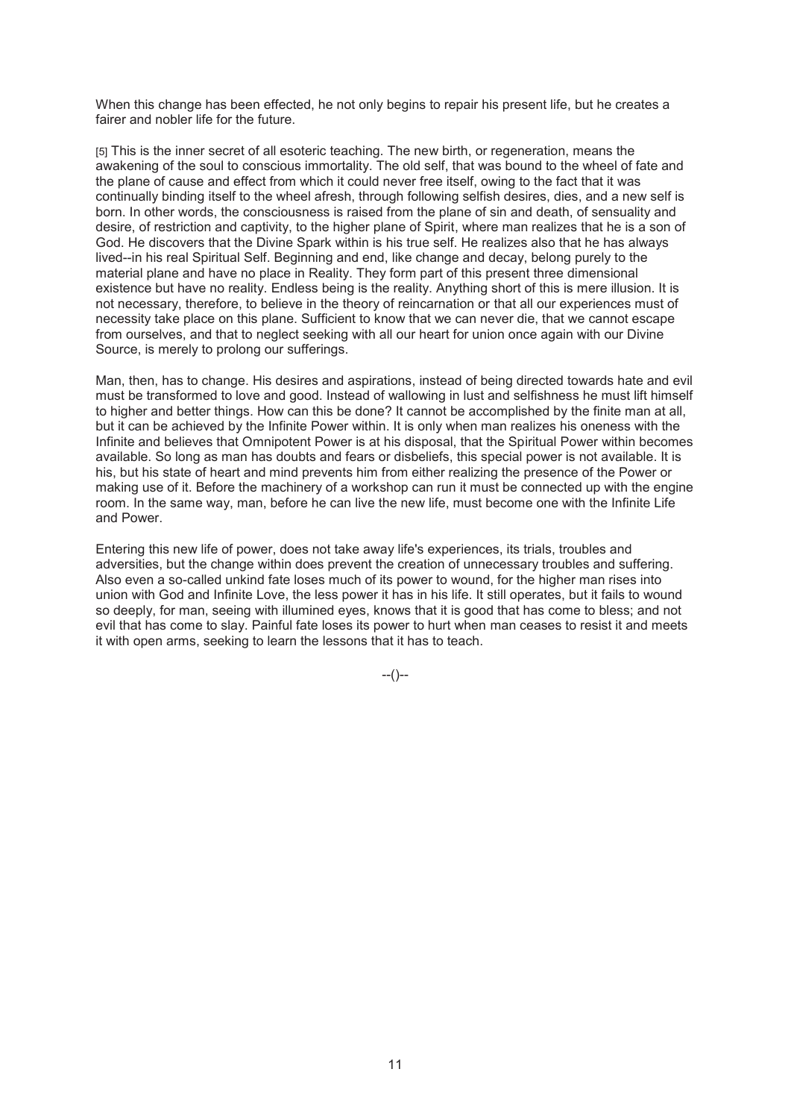When this change has been effected, he not only begins to repair his present life, but he creates a fairer and nobler life for the future.

[5] This is the inner secret of all esoteric teaching. The new birth, or regeneration, means the awakening of the soul to conscious immortality. The old self, that was bound to the wheel of fate and the plane of cause and effect from which it could never free itself, owing to the fact that it was continually binding itself to the wheel afresh, through following selfish desires, dies, and a new self is born. In other words, the consciousness is raised from the plane of sin and death, of sensuality and desire, of restriction and captivity, to the higher plane of Spirit, where man realizes that he is a son of God. He discovers that the Divine Spark within is his true self. He realizes also that he has always lived--in his real Spiritual Self. Beginning and end, like change and decay, belong purely to the material plane and have no place in Reality. They form part of this present three dimensional existence but have no reality. Endless being is the reality. Anything short of this is mere illusion. It is not necessary, therefore, to believe in the theory of reincarnation or that all our experiences must of necessity take place on this plane. Sufficient to know that we can never die, that we cannot escape from ourselves, and that to neglect seeking with all our heart for union once again with our Divine Source, is merely to prolong our sufferings.

Man, then, has to change. His desires and aspirations, instead of being directed towards hate and evil must be transformed to love and good. Instead of wallowing in lust and selfishness he must lift himself to higher and better things. How can this be done? It cannot be accomplished by the finite man at all, but it can be achieved by the Infinite Power within. It is only when man realizes his oneness with the Infinite and believes that Omnipotent Power is at his disposal, that the Spiritual Power within becomes available. So long as man has doubts and fears or disbeliefs, this special power is not available. It is his, but his state of heart and mind prevents him from either realizing the presence of the Power or making use of it. Before the machinery of a workshop can run it must be connected up with the engine room. In the same way, man, before he can live the new life, must become one with the Infinite Life and Power.

Entering this new life of power, does not take away life's experiences, its trials, troubles and adversities, but the change within does prevent the creation of unnecessary troubles and suffering. Also even a so-called unkind fate loses much of its power to wound, for the higher man rises into union with God and Infinite Love, the less power it has in his life. It still operates, but it fails to wound so deeply, for man, seeing with illumined eyes, knows that it is good that has come to bless; and not evil that has come to slay. Painful fate loses its power to hurt when man ceases to resist it and meets it with open arms, seeking to learn the lessons that it has to teach.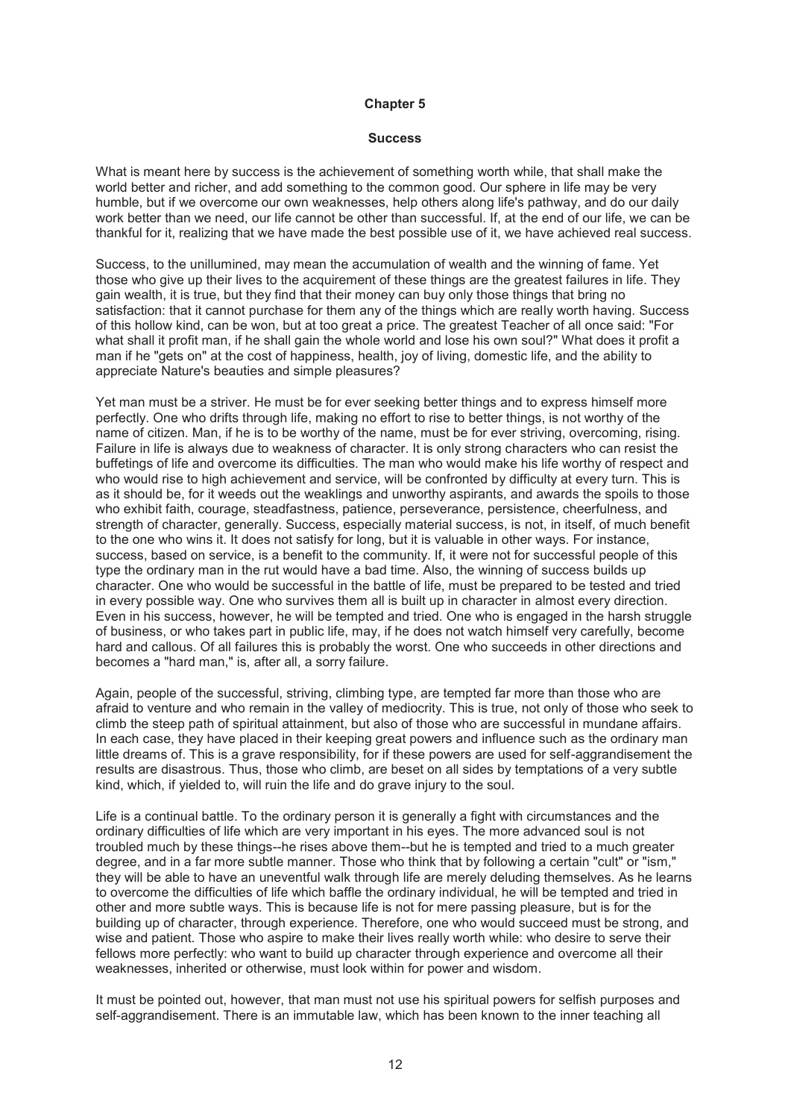#### **Success**

What is meant here by success is the achievement of something worth while, that shall make the world better and richer, and add something to the common good. Our sphere in life may be very humble, but if we overcome our own weaknesses, help others along life's pathway, and do our daily work better than we need, our life cannot be other than successful. If, at the end of our life, we can be thankful for it, realizing that we have made the best possible use of it, we have achieved real success.

Success, to the unillumined, may mean the accumulation of wealth and the winning of fame. Yet those who give up their lives to the acquirement of these things are the greatest failures in life. They gain wealth, it is true, but they find that their money can buy only those things that bring no satisfaction: that it cannot purchase for them any of the things which are really worth having. Success of this hollow kind, can be won, but at too great a price. The greatest Teacher of all once said: "For what shall it profit man, if he shall gain the whole world and lose his own soul?" What does it profit a man if he "gets on" at the cost of happiness, health, joy of living, domestic life, and the ability to appreciate Nature's beauties and simple pleasures?

Yet man must be a striver. He must be for ever seeking better things and to express himself more perfectly. One who drifts through life, making no effort to rise to better things, is not worthy of the name of citizen. Man, if he is to be worthy of the name, must be for ever striving, overcoming, rising. Failure in life is always due to weakness of character. It is only strong characters who can resist the buffetings of life and overcome its difficulties. The man who would make his life worthy of respect and who would rise to high achievement and service, will be confronted by difficulty at every turn. This is as it should be, for it weeds out the weaklings and unworthy aspirants, and awards the spoils to those who exhibit faith, courage, steadfastness, patience, perseverance, persistence, cheerfulness, and strength of character, generally. Success, especially material success, is not, in itself, of much benefit to the one who wins it. It does not satisfy for long, but it is valuable in other ways. For instance, success, based on service, is a benefit to the community. If, it were not for successful people of this type the ordinary man in the rut would have a bad time. Also, the winning of success builds up character. One who would be successful in the battle of life, must be prepared to be tested and tried in every possible way. One who survives them all is built up in character in almost every direction. Even in his success, however, he will be tempted and tried. One who is engaged in the harsh struggle of business, or who takes part in public life, may, if he does not watch himself very carefully, become hard and callous. Of all failures this is probably the worst. One who succeeds in other directions and becomes a "hard man," is, after all, a sorry failure.

Again, people of the successful, striving, climbing type, are tempted far more than those who are afraid to venture and who remain in the valley of mediocrity. This is true, not only of those who seek to climb the steep path of spiritual attainment, but also of those who are successful in mundane affairs. In each case, they have placed in their keeping great powers and influence such as the ordinary man little dreams of. This is a grave responsibility, for if these powers are used for self-aggrandisement the results are disastrous. Thus, those who climb, are beset on all sides by temptations of a very subtle kind, which, if yielded to, will ruin the life and do grave injury to the soul.

Life is a continual battle. To the ordinary person it is generally a fight with circumstances and the ordinary difficulties of life which are very important in his eyes. The more advanced soul is not troubled much by these things--he rises above them--but he is tempted and tried to a much greater degree, and in a far more subtle manner. Those who think that by following a certain "cult" or "ism," they will be able to have an uneventful walk through life are merely deluding themselves. As he learns to overcome the difficulties of life which baffle the ordinary individual, he will be tempted and tried in other and more subtle ways. This is because life is not for mere passing pleasure, but is for the building up of character, through experience. Therefore, one who would succeed must be strong, and wise and patient. Those who aspire to make their lives really worth while: who desire to serve their fellows more perfectly: who want to build up character through experience and overcome all their weaknesses, inherited or otherwise, must look within for power and wisdom.

It must be pointed out, however, that man must not use his spiritual powers for selfish purposes and self-aggrandisement. There is an immutable law, which has been known to the inner teaching all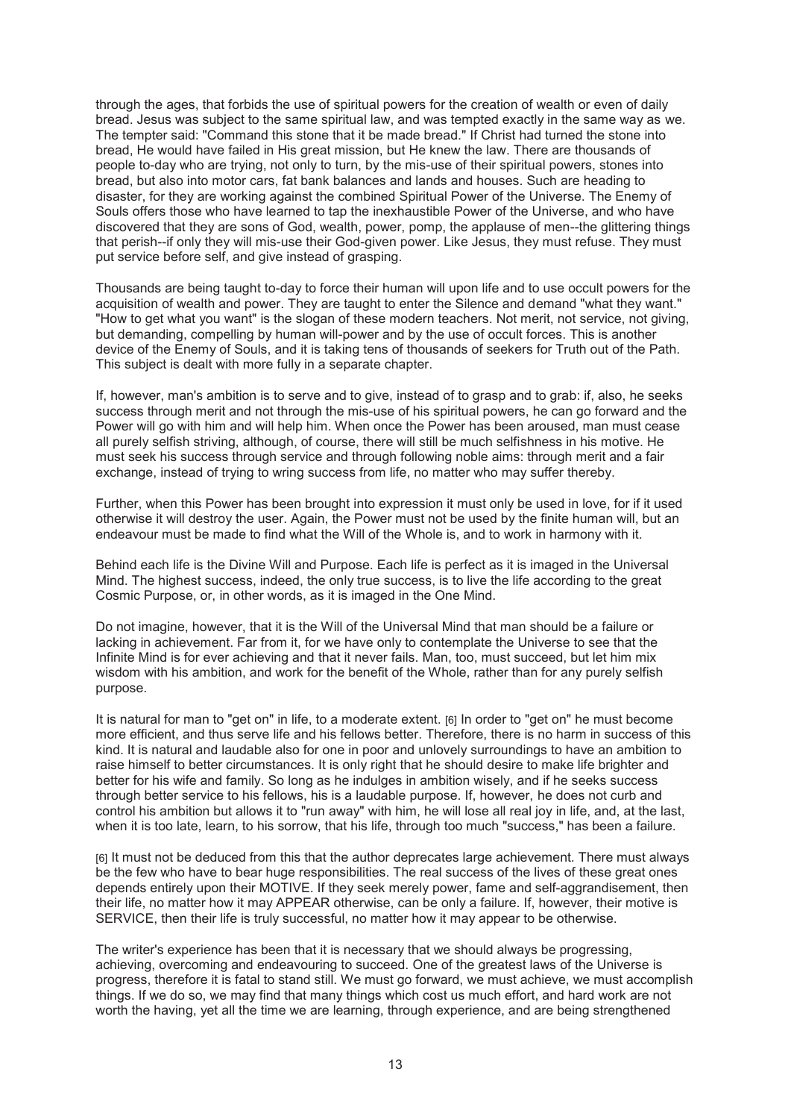through the ages, that forbids the use of spiritual powers for the creation of wealth or even of daily bread. Jesus was subject to the same spiritual law, and was tempted exactly in the same way as we. The tempter said: "Command this stone that it be made bread." If Christ had turned the stone into bread, He would have failed in His great mission, but He knew the law. There are thousands of people to-day who are trying, not only to turn, by the mis-use of their spiritual powers, stones into bread, but also into motor cars, fat bank balances and lands and houses. Such are heading to disaster, for they are working against the combined Spiritual Power of the Universe. The Enemy of Souls offers those who have learned to tap the inexhaustible Power of the Universe, and who have discovered that they are sons of God, wealth, power, pomp, the applause of men--the glittering things that perish--if only they will mis-use their God-given power. Like Jesus, they must refuse. They must put service before self, and give instead of grasping.

Thousands are being taught to-day to force their human will upon life and to use occult powers for the acquisition of wealth and power. They are taught to enter the Silence and demand "what they want." "How to get what you want" is the slogan of these modern teachers. Not merit, not service, not giving, but demanding, compelling by human will-power and by the use of occult forces. This is another device of the Enemy of Souls, and it is taking tens of thousands of seekers for Truth out of the Path. This subject is dealt with more fully in a separate chapter.

If, however, man's ambition is to serve and to give, instead of to grasp and to grab: if, also, he seeks success through merit and not through the mis-use of his spiritual powers, he can go forward and the Power will go with him and will help him. When once the Power has been aroused, man must cease all purely selfish striving, although, of course, there will still be much selfishness in his motive. He must seek his success through service and through following noble aims: through merit and a fair exchange, instead of trying to wring success from life, no matter who may suffer thereby.

Further, when this Power has been brought into expression it must only be used in love, for if it used otherwise it will destroy the user. Again, the Power must not be used by the finite human will, but an endeavour must be made to find what the Will of the Whole is, and to work in harmony with it.

Behind each life is the Divine Will and Purpose. Each life is perfect as it is imaged in the Universal Mind. The highest success, indeed, the only true success, is to live the life according to the great Cosmic Purpose, or, in other words, as it is imaged in the One Mind.

Do not imagine, however, that it is the Will of the Universal Mind that man should be a failure or lacking in achievement. Far from it, for we have only to contemplate the Universe to see that the Infinite Mind is for ever achieving and that it never fails. Man, too, must succeed, but let him mix wisdom with his ambition, and work for the benefit of the Whole, rather than for any purely selfish purpose.

It is natural for man to "get on" in life, to a moderate extent. [6] In order to "get on" he must become more efficient, and thus serve life and his fellows better. Therefore, there is no harm in success of this kind. It is natural and laudable also for one in poor and unlovely surroundings to have an ambition to raise himself to better circumstances. It is only right that he should desire to make life brighter and better for his wife and family. So long as he indulges in ambition wisely, and if he seeks success through better service to his fellows, his is a laudable purpose. If, however, he does not curb and control his ambition but allows it to "run away" with him, he will lose all real joy in life, and, at the last, when it is too late, learn, to his sorrow, that his life, through too much "success," has been a failure.

[6] It must not be deduced from this that the author deprecates large achievement. There must always be the few who have to bear huge responsibilities. The real success of the lives of these great ones depends entirely upon their MOTIVE. If they seek merely power, fame and self-aggrandisement, then their life, no matter how it may APPEAR otherwise, can be only a failure. If, however, their motive is SERVICE, then their life is truly successful, no matter how it may appear to be otherwise.

The writer's experience has been that it is necessary that we should always be progressing, achieving, overcoming and endeavouring to succeed. One of the greatest laws of the Universe is progress, therefore it is fatal to stand still. We must go forward, we must achieve, we must accomplish things. If we do so, we may find that many things which cost us much effort, and hard work are not worth the having, yet all the time we are learning, through experience, and are being strengthened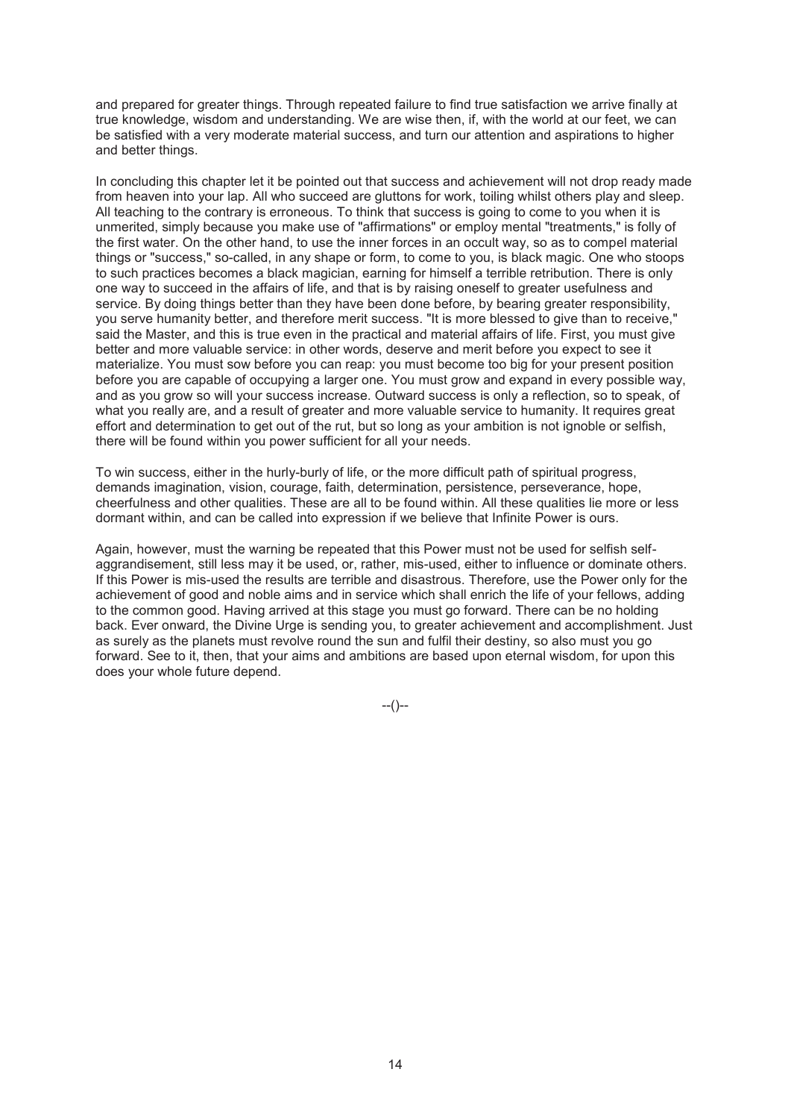and prepared for greater things. Through repeated failure to find true satisfaction we arrive finally at true knowledge, wisdom and understanding. We are wise then, if, with the world at our feet, we can be satisfied with a very moderate material success, and turn our attention and aspirations to higher and better things.

In concluding this chapter let it be pointed out that success and achievement will not drop ready made from heaven into your lap. All who succeed are gluttons for work, toiling whilst others play and sleep. All teaching to the contrary is erroneous. To think that success is going to come to you when it is unmerited, simply because you make use of "affirmations" or employ mental "treatments," is folly of the first water. On the other hand, to use the inner forces in an occult way, so as to compel material things or "success," so-called, in any shape or form, to come to you, is black magic. One who stoops to such practices becomes a black magician, earning for himself a terrible retribution. There is only one way to succeed in the affairs of life, and that is by raising oneself to greater usefulness and service. By doing things better than they have been done before, by bearing greater responsibility, you serve humanity better, and therefore merit success. "It is more blessed to give than to receive," said the Master, and this is true even in the practical and material affairs of life. First, you must give better and more valuable service: in other words, deserve and merit before you expect to see it materialize. You must sow before you can reap: you must become too big for your present position before you are capable of occupying a larger one. You must grow and expand in every possible way, and as you grow so will your success increase. Outward success is only a reflection, so to speak, of what you really are, and a result of greater and more valuable service to humanity. It requires great effort and determination to get out of the rut, but so long as your ambition is not ignoble or selfish, there will be found within you power sufficient for all your needs.

To win success, either in the hurly-burly of life, or the more difficult path of spiritual progress, demands imagination, vision, courage, faith, determination, persistence, perseverance, hope, cheerfulness and other qualities. These are all to be found within. All these qualities lie more or less dormant within, and can be called into expression if we believe that Infinite Power is ours.

Again, however, must the warning be repeated that this Power must not be used for selfish selfaggrandisement, still less may it be used, or, rather, mis-used, either to influence or dominate others. If this Power is mis-used the results are terrible and disastrous. Therefore, use the Power only for the achievement of good and noble aims and in service which shall enrich the life of your fellows, adding to the common good. Having arrived at this stage you must go forward. There can be no holding back. Ever onward, the Divine Urge is sending you, to greater achievement and accomplishment. Just as surely as the planets must revolve round the sun and fulfil their destiny, so also must you go forward. See to it, then, that your aims and ambitions are based upon eternal wisdom, for upon this does your whole future depend.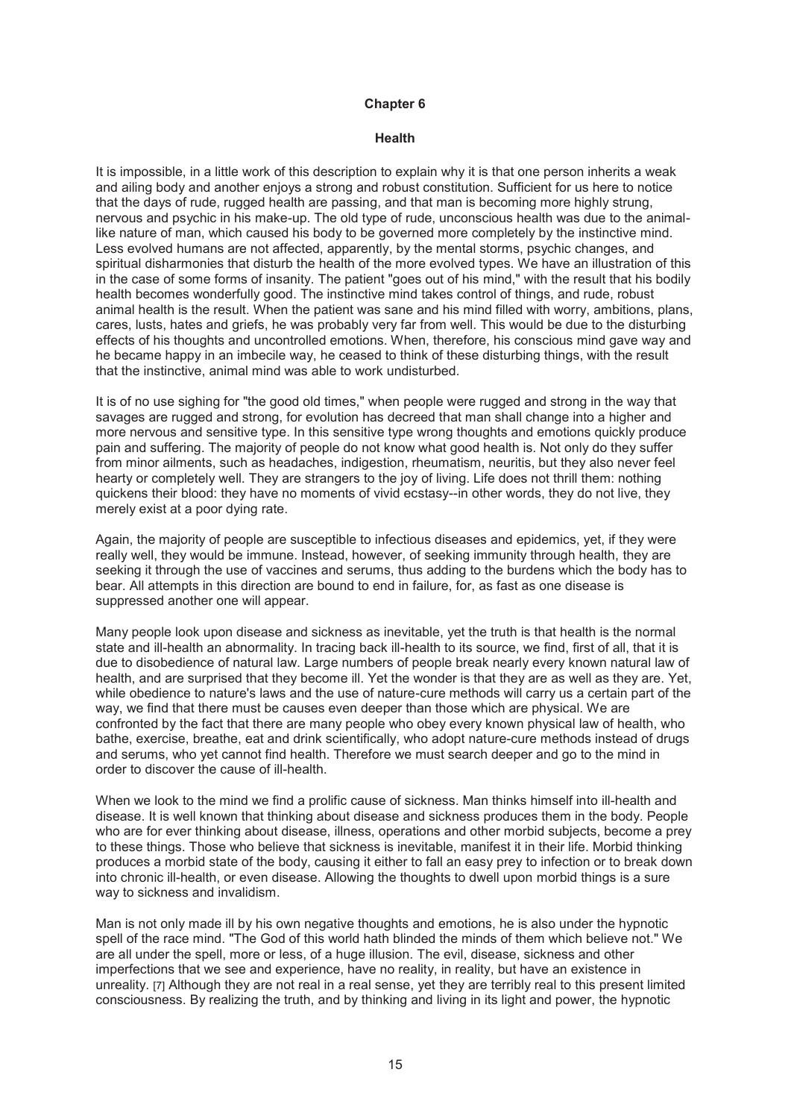#### **Health**

It is impossible, in a little work of this description to explain why it is that one person inherits a weak and ailing body and another enjoys a strong and robust constitution. Sufficient for us here to notice that the days of rude, rugged health are passing, and that man is becoming more highly strung, nervous and psychic in his make-up. The old type of rude, unconscious health was due to the animallike nature of man, which caused his body to be governed more completely by the instinctive mind. Less evolved humans are not affected, apparently, by the mental storms, psychic changes, and spiritual disharmonies that disturb the health of the more evolved types. We have an illustration of this in the case of some forms of insanity. The patient "goes out of his mind," with the result that his bodily health becomes wonderfully good. The instinctive mind takes control of things, and rude, robust animal health is the result. When the patient was sane and his mind filled with worry, ambitions, plans, cares, lusts, hates and griefs, he was probably very far from well. This would be due to the disturbing effects of his thoughts and uncontrolled emotions. When, therefore, his conscious mind gave way and he became happy in an imbecile way, he ceased to think of these disturbing things, with the result that the instinctive, animal mind was able to work undisturbed.

It is of no use sighing for "the good old times," when people were rugged and strong in the way that savages are rugged and strong, for evolution has decreed that man shall change into a higher and more nervous and sensitive type. In this sensitive type wrong thoughts and emotions quickly produce pain and suffering. The majority of people do not know what good health is. Not only do they suffer from minor ailments, such as headaches, indigestion, rheumatism, neuritis, but they also never feel hearty or completely well. They are strangers to the joy of living. Life does not thrill them: nothing quickens their blood: they have no moments of vivid ecstasy--in other words, they do not live, they merely exist at a poor dying rate.

Again, the majority of people are susceptible to infectious diseases and epidemics, yet, if they were really well, they would be immune. Instead, however, of seeking immunity through health, they are seeking it through the use of vaccines and serums, thus adding to the burdens which the body has to bear. All attempts in this direction are bound to end in failure, for, as fast as one disease is suppressed another one will appear.

Many people look upon disease and sickness as inevitable, yet the truth is that health is the normal state and ill-health an abnormality. In tracing back ill-health to its source, we find, first of all, that it is due to disobedience of natural law. Large numbers of people break nearly every known natural law of health, and are surprised that they become ill. Yet the wonder is that they are as well as they are. Yet, while obedience to nature's laws and the use of nature-cure methods will carry us a certain part of the way, we find that there must be causes even deeper than those which are physical. We are confronted by the fact that there are many people who obey every known physical law of health, who bathe, exercise, breathe, eat and drink scientifically, who adopt nature-cure methods instead of drugs and serums, who yet cannot find health. Therefore we must search deeper and go to the mind in order to discover the cause of ill-health.

When we look to the mind we find a prolific cause of sickness. Man thinks himself into ill-health and disease. It is well known that thinking about disease and sickness produces them in the body. People who are for ever thinking about disease, illness, operations and other morbid subjects, become a prey to these things. Those who believe that sickness is inevitable, manifest it in their life. Morbid thinking produces a morbid state of the body, causing it either to fall an easy prey to infection or to break down into chronic ill-health, or even disease. Allowing the thoughts to dwell upon morbid things is a sure way to sickness and invalidism.

Man is not only made ill by his own negative thoughts and emotions, he is also under the hypnotic spell of the race mind. "The God of this world hath blinded the minds of them which believe not." We are all under the spell, more or less, of a huge illusion. The evil, disease, sickness and other imperfections that we see and experience, have no reality, in reality, but have an existence in unreality. [7] Although they are not real in a real sense, yet they are terribly real to this present limited consciousness. By realizing the truth, and by thinking and living in its light and power, the hypnotic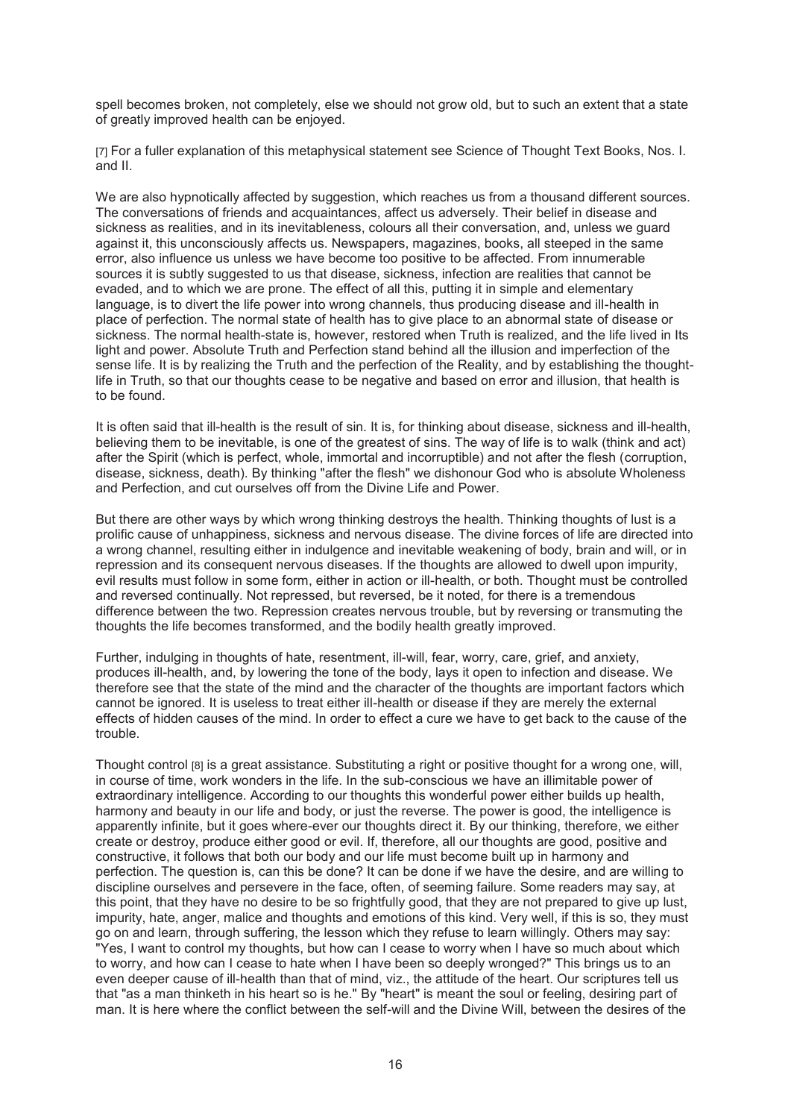spell becomes broken, not completely, else we should not grow old, but to such an extent that a state of greatly improved health can be enjoyed.

[7] For a fuller explanation of this metaphysical statement see Science of Thought Text Books, Nos. I. and II.

We are also hypnotically affected by suggestion, which reaches us from a thousand different sources. The conversations of friends and acquaintances, affect us adversely. Their belief in disease and sickness as realities, and in its inevitableness, colours all their conversation, and, unless we guard against it, this unconsciously affects us. Newspapers, magazines, books, all steeped in the same error, also influence us unless we have become too positive to be affected. From innumerable sources it is subtly suggested to us that disease, sickness, infection are realities that cannot be evaded, and to which we are prone. The effect of all this, putting it in simple and elementary language, is to divert the life power into wrong channels, thus producing disease and ill-health in place of perfection. The normal state of health has to give place to an abnormal state of disease or sickness. The normal health-state is, however, restored when Truth is realized, and the life lived in Its light and power. Absolute Truth and Perfection stand behind all the illusion and imperfection of the sense life. It is by realizing the Truth and the perfection of the Reality, and by establishing the thoughtlife in Truth, so that our thoughts cease to be negative and based on error and illusion, that health is to be found.

It is often said that ill-health is the result of sin. It is, for thinking about disease, sickness and ill-health, believing them to be inevitable, is one of the greatest of sins. The way of life is to walk (think and act) after the Spirit (which is perfect, whole, immortal and incorruptible) and not after the flesh (corruption, disease, sickness, death). By thinking "after the flesh" we dishonour God who is absolute Wholeness and Perfection, and cut ourselves off from the Divine Life and Power.

But there are other ways by which wrong thinking destroys the health. Thinking thoughts of lust is a prolific cause of unhappiness, sickness and nervous disease. The divine forces of life are directed into a wrong channel, resulting either in indulgence and inevitable weakening of body, brain and will, or in repression and its consequent nervous diseases. If the thoughts are allowed to dwell upon impurity, evil results must follow in some form, either in action or ill-health, or both. Thought must be controlled and reversed continually. Not repressed, but reversed, be it noted, for there is a tremendous difference between the two. Repression creates nervous trouble, but by reversing or transmuting the thoughts the life becomes transformed, and the bodily health greatly improved.

Further, indulging in thoughts of hate, resentment, ill-will, fear, worry, care, grief, and anxiety, produces ill-health, and, by lowering the tone of the body, lays it open to infection and disease. We therefore see that the state of the mind and the character of the thoughts are important factors which cannot be ignored. It is useless to treat either ill-health or disease if they are merely the external effects of hidden causes of the mind. In order to effect a cure we have to get back to the cause of the trouble.

Thought control [8] is a great assistance. Substituting a right or positive thought for a wrong one, will, in course of time, work wonders in the life. In the sub-conscious we have an illimitable power of extraordinary intelligence. According to our thoughts this wonderful power either builds up health, harmony and beauty in our life and body, or just the reverse. The power is good, the intelligence is apparently infinite, but it goes where-ever our thoughts direct it. By our thinking, therefore, we either create or destroy, produce either good or evil. If, therefore, all our thoughts are good, positive and constructive, it follows that both our body and our life must become built up in harmony and perfection. The question is, can this be done? It can be done if we have the desire, and are willing to discipline ourselves and persevere in the face, often, of seeming failure. Some readers may say, at this point, that they have no desire to be so frightfully good, that they are not prepared to give up lust, impurity, hate, anger, malice and thoughts and emotions of this kind. Very well, if this is so, they must go on and learn, through suffering, the lesson which they refuse to learn willingly. Others may say: "Yes, I want to control my thoughts, but how can I cease to worry when I have so much about which to worry, and how can I cease to hate when I have been so deeply wronged?" This brings us to an even deeper cause of ill-health than that of mind, viz., the attitude of the heart. Our scriptures tell us that "as a man thinketh in his heart so is he." By "heart" is meant the soul or feeling, desiring part of man. It is here where the conflict between the self-will and the Divine Will, between the desires of the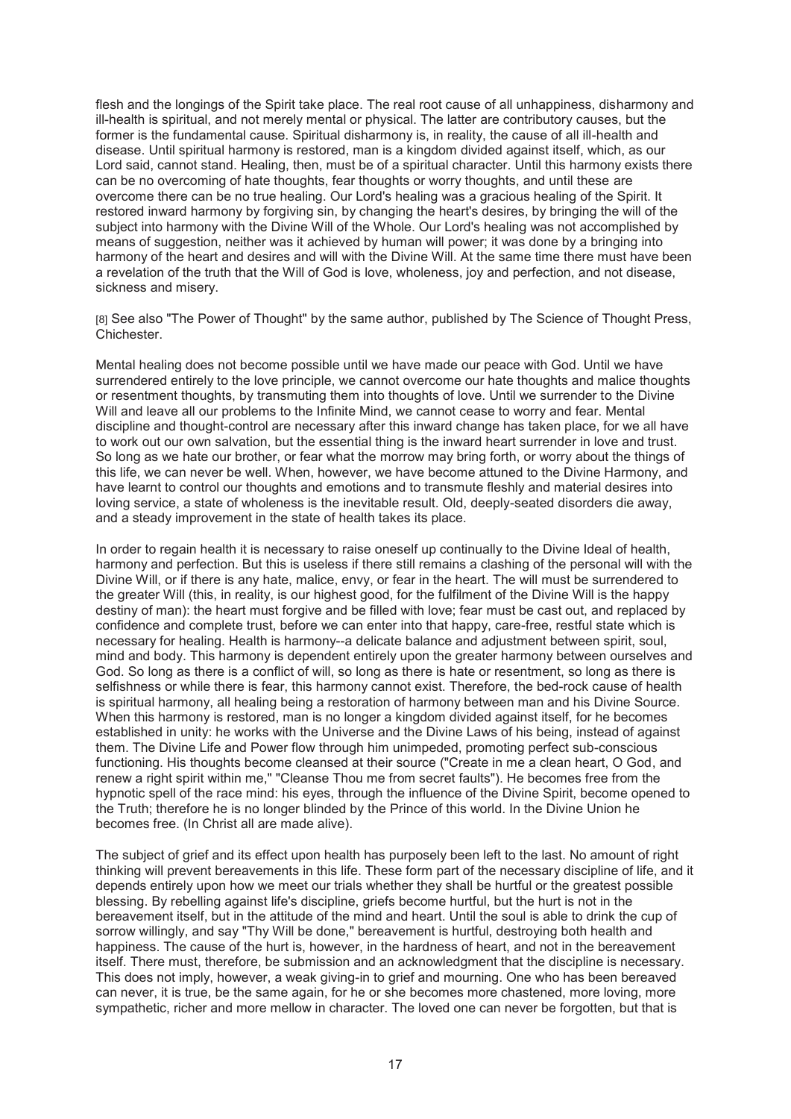flesh and the longings of the Spirit take place. The real root cause of all unhappiness, disharmony and ill-health is spiritual, and not merely mental or physical. The latter are contributory causes, but the former is the fundamental cause. Spiritual disharmony is, in reality, the cause of all ill-health and disease. Until spiritual harmony is restored, man is a kingdom divided against itself, which, as our Lord said, cannot stand. Healing, then, must be of a spiritual character. Until this harmony exists there can be no overcoming of hate thoughts, fear thoughts or worry thoughts, and until these are overcome there can be no true healing. Our Lord's healing was a gracious healing of the Spirit. It restored inward harmony by forgiving sin, by changing the heart's desires, by bringing the will of the subject into harmony with the Divine Will of the Whole. Our Lord's healing was not accomplished by means of suggestion, neither was it achieved by human will power; it was done by a bringing into harmony of the heart and desires and will with the Divine Will. At the same time there must have been a revelation of the truth that the Will of God is love, wholeness, joy and perfection, and not disease, sickness and misery.

[8] See also "The Power of Thought" by the same author, published by The Science of Thought Press, Chichester.

Mental healing does not become possible until we have made our peace with God. Until we have surrendered entirely to the love principle, we cannot overcome our hate thoughts and malice thoughts or resentment thoughts, by transmuting them into thoughts of love. Until we surrender to the Divine Will and leave all our problems to the Infinite Mind, we cannot cease to worry and fear. Mental discipline and thought-control are necessary after this inward change has taken place, for we all have to work out our own salvation, but the essential thing is the inward heart surrender in love and trust. So long as we hate our brother, or fear what the morrow may bring forth, or worry about the things of this life, we can never be well. When, however, we have become attuned to the Divine Harmony, and have learnt to control our thoughts and emotions and to transmute fleshly and material desires into loving service, a state of wholeness is the inevitable result. Old, deeply-seated disorders die away, and a steady improvement in the state of health takes its place.

In order to regain health it is necessary to raise oneself up continually to the Divine Ideal of health, harmony and perfection. But this is useless if there still remains a clashing of the personal will with the Divine Will, or if there is any hate, malice, envy, or fear in the heart. The will must be surrendered to the greater Will (this, in reality, is our highest good, for the fulfilment of the Divine Will is the happy destiny of man): the heart must forgive and be filled with love; fear must be cast out, and replaced by confidence and complete trust, before we can enter into that happy, care-free, restful state which is necessary for healing. Health is harmony--a delicate balance and adjustment between spirit, soul, mind and body. This harmony is dependent entirely upon the greater harmony between ourselves and God. So long as there is a conflict of will, so long as there is hate or resentment, so long as there is selfishness or while there is fear, this harmony cannot exist. Therefore, the bed-rock cause of health is spiritual harmony, all healing being a restoration of harmony between man and his Divine Source. When this harmony is restored, man is no longer a kingdom divided against itself, for he becomes established in unity: he works with the Universe and the Divine Laws of his being, instead of against them. The Divine Life and Power flow through him unimpeded, promoting perfect sub-conscious functioning. His thoughts become cleansed at their source ("Create in me a clean heart, O God, and renew a right spirit within me," "Cleanse Thou me from secret faults"). He becomes free from the hypnotic spell of the race mind: his eyes, through the influence of the Divine Spirit, become opened to the Truth; therefore he is no longer blinded by the Prince of this world. In the Divine Union he becomes free. (In Christ all are made alive).

The subject of grief and its effect upon health has purposely been left to the last. No amount of right thinking will prevent bereavements in this life. These form part of the necessary discipline of life, and it depends entirely upon how we meet our trials whether they shall be hurtful or the greatest possible blessing. By rebelling against life's discipline, griefs become hurtful, but the hurt is not in the bereavement itself, but in the attitude of the mind and heart. Until the soul is able to drink the cup of sorrow willingly, and say "Thy Will be done," bereavement is hurtful, destroying both health and happiness. The cause of the hurt is, however, in the hardness of heart, and not in the bereavement itself. There must, therefore, be submission and an acknowledgment that the discipline is necessary. This does not imply, however, a weak giving-in to grief and mourning. One who has been bereaved can never, it is true, be the same again, for he or she becomes more chastened, more loving, more sympathetic, richer and more mellow in character. The loved one can never be forgotten, but that is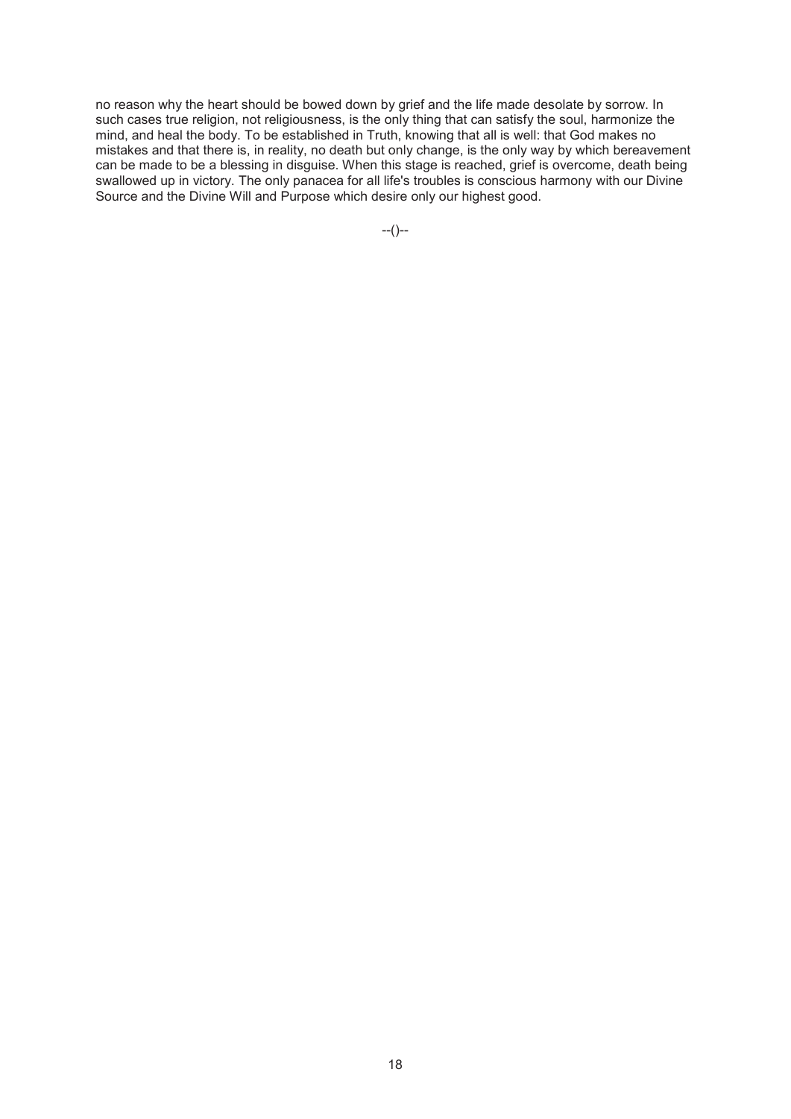no reason why the heart should be bowed down by grief and the life made desolate by sorrow. In such cases true religion, not religiousness, is the only thing that can satisfy the soul, harmonize the mind, and heal the body. To be established in Truth, knowing that all is well: that God makes no mistakes and that there is, in reality, no death but only change, is the only way by which bereavement can be made to be a blessing in disguise. When this stage is reached, grief is overcome, death being swallowed up in victory. The only panacea for all life's troubles is conscious harmony with our Divine Source and the Divine Will and Purpose which desire only our highest good.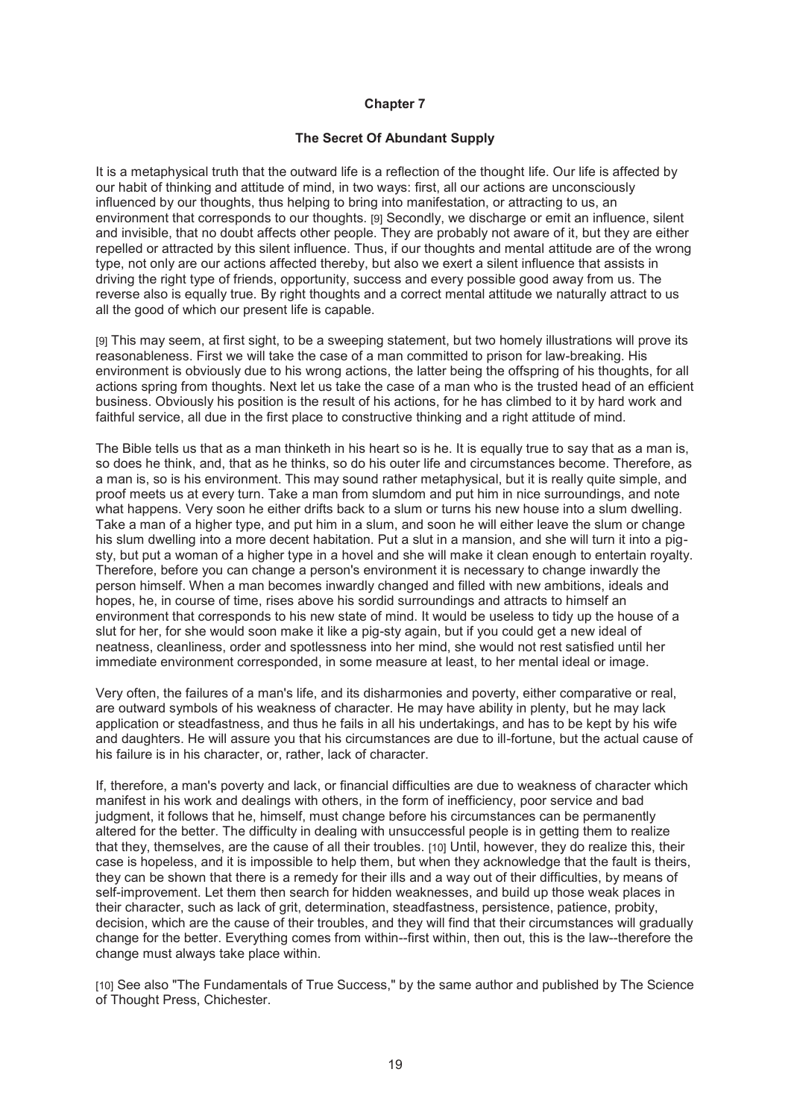## **The Secret Of Abundant Supply**

It is a metaphysical truth that the outward life is a reflection of the thought life. Our life is affected by our habit of thinking and attitude of mind, in two ways: first, all our actions are unconsciously influenced by our thoughts, thus helping to bring into manifestation, or attracting to us, an environment that corresponds to our thoughts. [9] Secondly, we discharge or emit an influence, silent and invisible, that no doubt affects other people. They are probably not aware of it, but they are either repelled or attracted by this silent influence. Thus, if our thoughts and mental attitude are of the wrong type, not only are our actions affected thereby, but also we exert a silent influence that assists in driving the right type of friends, opportunity, success and every possible good away from us. The reverse also is equally true. By right thoughts and a correct mental attitude we naturally attract to us all the good of which our present life is capable.

[9] This may seem, at first sight, to be a sweeping statement, but two homely illustrations will prove its reasonableness. First we will take the case of a man committed to prison for law-breaking. His environment is obviously due to his wrong actions, the latter being the offspring of his thoughts, for all actions spring from thoughts. Next let us take the case of a man who is the trusted head of an efficient business. Obviously his position is the result of his actions, for he has climbed to it by hard work and faithful service, all due in the first place to constructive thinking and a right attitude of mind.

The Bible tells us that as a man thinketh in his heart so is he. It is equally true to say that as a man is, so does he think, and, that as he thinks, so do his outer life and circumstances become. Therefore, as a man is, so is his environment. This may sound rather metaphysical, but it is really quite simple, and proof meets us at every turn. Take a man from slumdom and put him in nice surroundings, and note what happens. Very soon he either drifts back to a slum or turns his new house into a slum dwelling. Take a man of a higher type, and put him in a slum, and soon he will either leave the slum or change his slum dwelling into a more decent habitation. Put a slut in a mansion, and she will turn it into a pigsty, but put a woman of a higher type in a hovel and she will make it clean enough to entertain royalty. Therefore, before you can change a person's environment it is necessary to change inwardly the person himself. When a man becomes inwardly changed and filled with new ambitions, ideals and hopes, he, in course of time, rises above his sordid surroundings and attracts to himself an environment that corresponds to his new state of mind. It would be useless to tidy up the house of a slut for her, for she would soon make it like a pig-sty again, but if you could get a new ideal of neatness, cleanliness, order and spotlessness into her mind, she would not rest satisfied until her immediate environment corresponded, in some measure at least, to her mental ideal or image.

Very often, the failures of a man's life, and its disharmonies and poverty, either comparative or real, are outward symbols of his weakness of character. He may have ability in plenty, but he may lack application or steadfastness, and thus he fails in all his undertakings, and has to be kept by his wife and daughters. He will assure you that his circumstances are due to ill-fortune, but the actual cause of his failure is in his character, or, rather, lack of character.

If, therefore, a man's poverty and lack, or financial difficulties are due to weakness of character which manifest in his work and dealings with others, in the form of inefficiency, poor service and bad judgment, it follows that he, himself, must change before his circumstances can be permanently altered for the better. The difficulty in dealing with unsuccessful people is in getting them to realize that they, themselves, are the cause of all their troubles. [10] Until, however, they do realize this, their case is hopeless, and it is impossible to help them, but when they acknowledge that the fault is theirs, they can be shown that there is a remedy for their ills and a way out of their difficulties, by means of self-improvement. Let them then search for hidden weaknesses, and build up those weak places in their character, such as lack of grit, determination, steadfastness, persistence, patience, probity, decision, which are the cause of their troubles, and they will find that their circumstances will gradually change for the better. Everything comes from within--first within, then out, this is the law--therefore the change must always take place within.

[10] See also "The Fundamentals of True Success," by the same author and published by The Science of Thought Press, Chichester.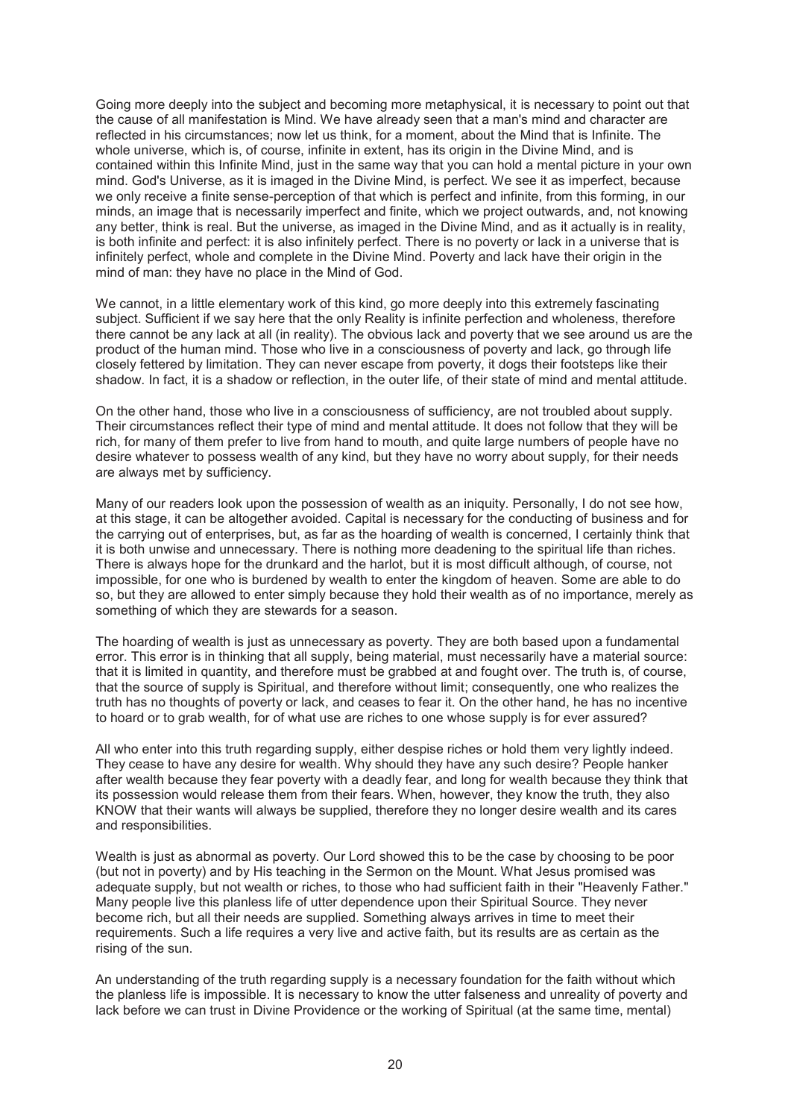Going more deeply into the subject and becoming more metaphysical, it is necessary to point out that the cause of all manifestation is Mind. We have already seen that a man's mind and character are reflected in his circumstances; now let us think, for a moment, about the Mind that is Infinite. The whole universe, which is, of course, infinite in extent, has its origin in the Divine Mind, and is contained within this Infinite Mind, just in the same way that you can hold a mental picture in your own mind. God's Universe, as it is imaged in the Divine Mind, is perfect. We see it as imperfect, because we only receive a finite sense-perception of that which is perfect and infinite, from this forming, in our minds, an image that is necessarily imperfect and finite, which we project outwards, and, not knowing any better, think is real. But the universe, as imaged in the Divine Mind, and as it actually is in reality, is both infinite and perfect: it is also infinitely perfect. There is no poverty or lack in a universe that is infinitely perfect, whole and complete in the Divine Mind. Poverty and lack have their origin in the mind of man: they have no place in the Mind of God.

We cannot, in a little elementary work of this kind, go more deeply into this extremely fascinating subject. Sufficient if we say here that the only Reality is infinite perfection and wholeness, therefore there cannot be any lack at all (in reality). The obvious lack and poverty that we see around us are the product of the human mind. Those who live in a consciousness of poverty and lack, go through life closely fettered by limitation. They can never escape from poverty, it dogs their footsteps like their shadow. In fact, it is a shadow or reflection, in the outer life, of their state of mind and mental attitude.

On the other hand, those who live in a consciousness of sufficiency, are not troubled about supply. Their circumstances reflect their type of mind and mental attitude. It does not follow that they will be rich, for many of them prefer to live from hand to mouth, and quite large numbers of people have no desire whatever to possess wealth of any kind, but they have no worry about supply, for their needs are always met by sufficiency.

Many of our readers look upon the possession of wealth as an iniquity. Personally, I do not see how, at this stage, it can be altogether avoided. Capital is necessary for the conducting of business and for the carrying out of enterprises, but, as far as the hoarding of wealth is concerned, I certainly think that it is both unwise and unnecessary. There is nothing more deadening to the spiritual life than riches. There is always hope for the drunkard and the harlot, but it is most difficult although, of course, not impossible, for one who is burdened by wealth to enter the kingdom of heaven. Some are able to do so, but they are allowed to enter simply because they hold their wealth as of no importance, merely as something of which they are stewards for a season.

The hoarding of wealth is just as unnecessary as poverty. They are both based upon a fundamental error. This error is in thinking that all supply, being material, must necessarily have a material source: that it is limited in quantity, and therefore must be grabbed at and fought over. The truth is, of course, that the source of supply is Spiritual, and therefore without limit; consequently, one who realizes the truth has no thoughts of poverty or lack, and ceases to fear it. On the other hand, he has no incentive to hoard or to grab wealth, for of what use are riches to one whose supply is for ever assured?

All who enter into this truth regarding supply, either despise riches or hold them very lightly indeed. They cease to have any desire for wealth. Why should they have any such desire? People hanker after wealth because they fear poverty with a deadly fear, and long for wealth because they think that its possession would release them from their fears. When, however, they know the truth, they also KNOW that their wants will always be supplied, therefore they no longer desire wealth and its cares and responsibilities.

Wealth is just as abnormal as poverty. Our Lord showed this to be the case by choosing to be poor (but not in poverty) and by His teaching in the Sermon on the Mount. What Jesus promised was adequate supply, but not wealth or riches, to those who had sufficient faith in their "Heavenly Father." Many people live this planless life of utter dependence upon their Spiritual Source. They never become rich, but all their needs are supplied. Something always arrives in time to meet their requirements. Such a life requires a very live and active faith, but its results are as certain as the rising of the sun.

An understanding of the truth regarding supply is a necessary foundation for the faith without which the planless life is impossible. It is necessary to know the utter falseness and unreality of poverty and lack before we can trust in Divine Providence or the working of Spiritual (at the same time, mental)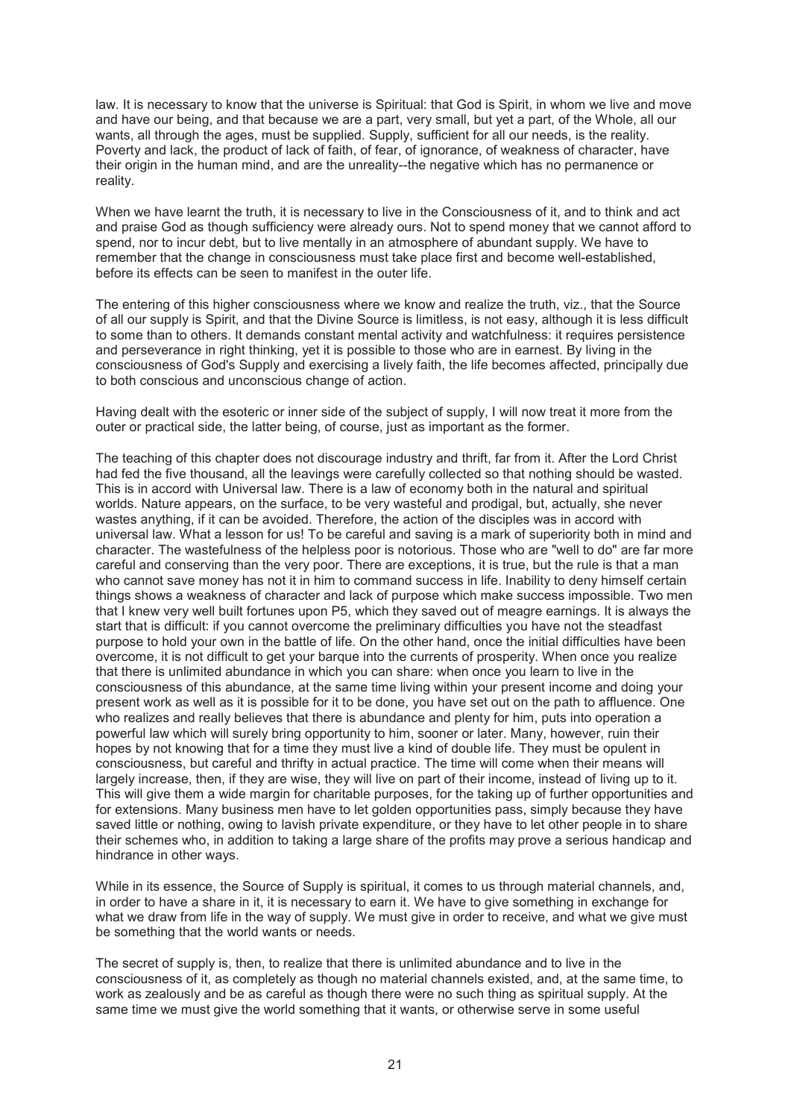law. It is necessary to know that the universe is Spiritual: that God is Spirit, in whom we live and move and have our being, and that because we are a part, very small, but yet a part, of the Whole, all our wants, all through the ages, must be supplied. Supply, sufficient for all our needs, is the reality. Poverty and lack, the product of lack of faith, of fear, of ignorance, of weakness of character, have their origin in the human mind, and are the unreality--the negative which has no permanence or reality.

When we have learnt the truth, it is necessary to live in the Consciousness of it, and to think and act and praise God as though sufficiency were already ours. Not to spend money that we cannot afford to spend, nor to incur debt, but to live mentally in an atmosphere of abundant supply. We have to remember that the change in consciousness must take place first and become well-established, before its effects can be seen to manifest in the outer life.

The entering of this higher consciousness where we know and realize the truth, viz., that the Source of all our supply is Spirit, and that the Divine Source is limitless, is not easy, although it is less difficult to some than to others. It demands constant mental activity and watchfulness: it requires persistence and perseverance in right thinking, yet it is possible to those who are in earnest. By living in the consciousness of God's Supply and exercising a lively faith, the life becomes affected, principally due to both conscious and unconscious change of action.

Having dealt with the esoteric or inner side of the subject of supply, I will now treat it more from the outer or practical side, the latter being, of course, just as important as the former.

The teaching of this chapter does not discourage industry and thrift, far from it. After the Lord Christ had fed the five thousand, all the leavings were carefully collected so that nothing should be wasted. This is in accord with Universal law. There is a law of economy both in the natural and spiritual worlds. Nature appears, on the surface, to be very wasteful and prodigal, but, actually, she never wastes anything, if it can be avoided. Therefore, the action of the disciples was in accord with universal law. What a lesson for us! To be careful and saving is a mark of superiority both in mind and character. The wastefulness of the helpless poor is notorious. Those who are "well to do" are far more careful and conserving than the very poor. There are exceptions, it is true, but the rule is that a man who cannot save money has not it in him to command success in life. Inability to deny himself certain things shows a weakness of character and lack of purpose which make success impossible. Two men that I knew very well built fortunes upon P5, which they saved out of meagre earnings. It is always the start that is difficult: if you cannot overcome the preliminary difficulties you have not the steadfast purpose to hold your own in the battle of life. On the other hand, once the initial difficulties have been overcome, it is not difficult to get your barque into the currents of prosperity. When once you realize that there is unlimited abundance in which you can share: when once you learn to live in the consciousness of this abundance, at the same time living within your present income and doing your present work as well as it is possible for it to be done, you have set out on the path to affluence. One who realizes and really believes that there is abundance and plenty for him, puts into operation a powerful law which will surely bring opportunity to him, sooner or later. Many, however, ruin their hopes by not knowing that for a time they must live a kind of double life. They must be opulent in consciousness, but careful and thrifty in actual practice. The time will come when their means will largely increase, then, if they are wise, they will live on part of their income, instead of living up to it. This will give them a wide margin for charitable purposes, for the taking up of further opportunities and for extensions. Many business men have to let golden opportunities pass, simply because they have saved little or nothing, owing to lavish private expenditure, or they have to let other people in to share their schemes who, in addition to taking a large share of the profits may prove a serious handicap and hindrance in other ways.

While in its essence, the Source of Supply is spiritual, it comes to us through material channels, and, in order to have a share in it, it is necessary to earn it. We have to give something in exchange for what we draw from life in the way of supply. We must give in order to receive, and what we give must be something that the world wants or needs.

The secret of supply is, then, to realize that there is unlimited abundance and to live in the consciousness of it, as completely as though no material channels existed, and, at the same time, to work as zealously and be as careful as though there were no such thing as spiritual supply. At the same time we must give the world something that it wants, or otherwise serve in some useful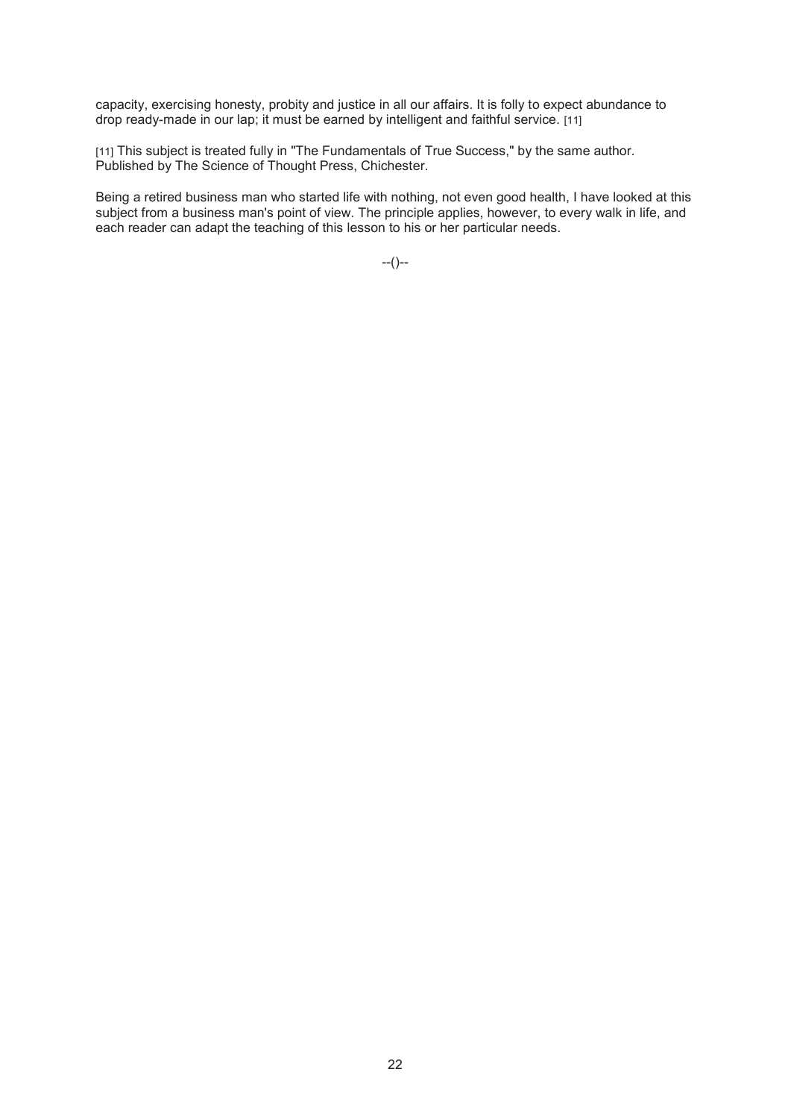capacity, exercising honesty, probity and justice in all our affairs. It is folly to expect abundance to drop ready-made in our lap; it must be earned by intelligent and faithful service. [11]

[11] This subject is treated fully in "The Fundamentals of True Success," by the same author. Published by The Science of Thought Press, Chichester.

Being a retired business man who started life with nothing, not even good health, I have looked at this subject from a business man's point of view. The principle applies, however, to every walk in life, and each reader can adapt the teaching of this lesson to his or her particular needs.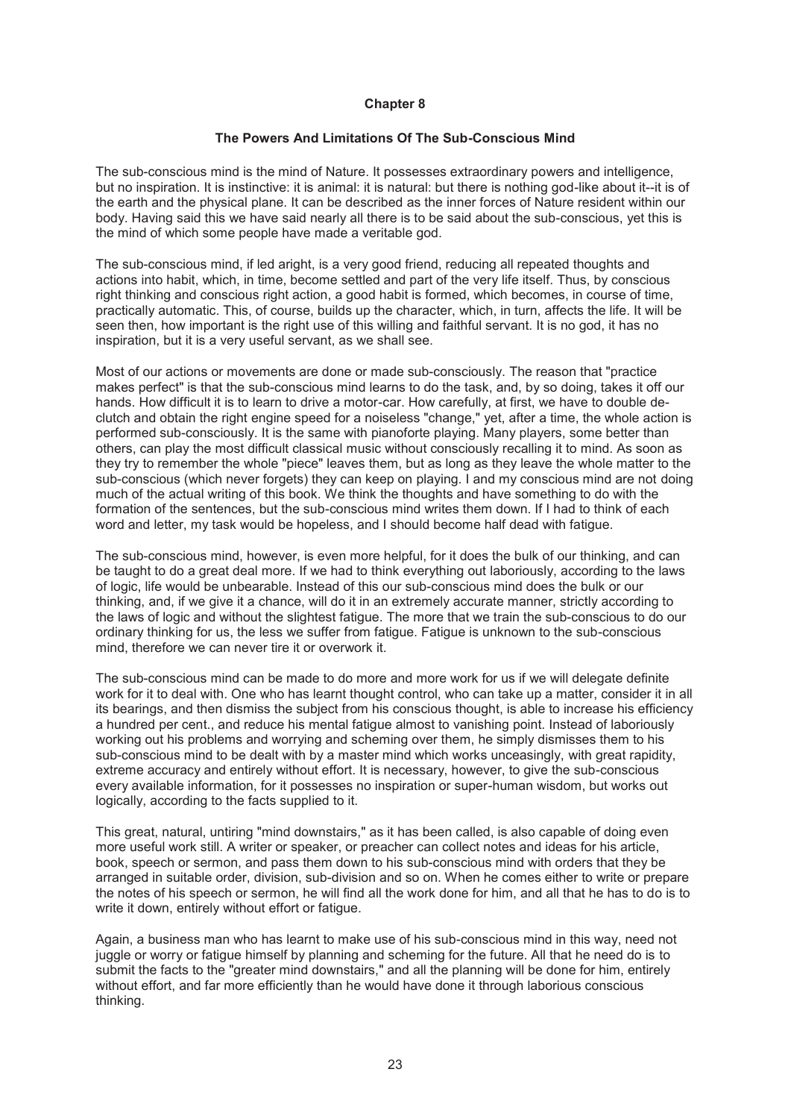### **The Powers And Limitations Of The Sub-Conscious Mind**

The sub-conscious mind is the mind of Nature. It possesses extraordinary powers and intelligence, but no inspiration. It is instinctive: it is animal: it is natural: but there is nothing god-like about it--it is of the earth and the physical plane. It can be described as the inner forces of Nature resident within our body. Having said this we have said nearly all there is to be said about the sub-conscious, yet this is the mind of which some people have made a veritable god.

The sub-conscious mind, if led aright, is a very good friend, reducing all repeated thoughts and actions into habit, which, in time, become settled and part of the very life itself. Thus, by conscious right thinking and conscious right action, a good habit is formed, which becomes, in course of time, practically automatic. This, of course, builds up the character, which, in turn, affects the life. It will be seen then, how important is the right use of this willing and faithful servant. It is no god, it has no inspiration, but it is a very useful servant, as we shall see.

Most of our actions or movements are done or made sub-consciously. The reason that "practice makes perfect" is that the sub-conscious mind learns to do the task, and, by so doing, takes it off our hands. How difficult it is to learn to drive a motor-car. How carefully, at first, we have to double declutch and obtain the right engine speed for a noiseless "change," yet, after a time, the whole action is performed sub-consciously. It is the same with pianoforte playing. Many players, some better than others, can play the most difficult classical music without consciously recalling it to mind. As soon as they try to remember the whole "piece" leaves them, but as long as they leave the whole matter to the sub-conscious (which never forgets) they can keep on playing. I and my conscious mind are not doing much of the actual writing of this book. We think the thoughts and have something to do with the formation of the sentences, but the sub-conscious mind writes them down. If I had to think of each word and letter, my task would be hopeless, and I should become half dead with fatigue.

The sub-conscious mind, however, is even more helpful, for it does the bulk of our thinking, and can be taught to do a great deal more. If we had to think everything out laboriously, according to the laws of logic, life would be unbearable. Instead of this our sub-conscious mind does the bulk or our thinking, and, if we give it a chance, will do it in an extremely accurate manner, strictly according to the laws of logic and without the slightest fatigue. The more that we train the sub-conscious to do our ordinary thinking for us, the less we suffer from fatigue. Fatigue is unknown to the sub-conscious mind, therefore we can never tire it or overwork it.

The sub-conscious mind can be made to do more and more work for us if we will delegate definite work for it to deal with. One who has learnt thought control, who can take up a matter, consider it in all its bearings, and then dismiss the subject from his conscious thought, is able to increase his efficiency a hundred per cent., and reduce his mental fatigue almost to vanishing point. Instead of laboriously working out his problems and worrying and scheming over them, he simply dismisses them to his sub-conscious mind to be dealt with by a master mind which works unceasingly, with great rapidity, extreme accuracy and entirely without effort. It is necessary, however, to give the sub-conscious every available information, for it possesses no inspiration or super-human wisdom, but works out logically, according to the facts supplied to it.

This great, natural, untiring "mind downstairs," as it has been called, is also capable of doing even more useful work still. A writer or speaker, or preacher can collect notes and ideas for his article, book, speech or sermon, and pass them down to his sub-conscious mind with orders that they be arranged in suitable order, division, sub-division and so on. When he comes either to write or prepare the notes of his speech or sermon, he will find all the work done for him, and all that he has to do is to write it down, entirely without effort or fatigue.

Again, a business man who has learnt to make use of his sub-conscious mind in this way, need not juggle or worry or fatigue himself by planning and scheming for the future. All that he need do is to submit the facts to the "greater mind downstairs," and all the planning will be done for him, entirely without effort, and far more efficiently than he would have done it through laborious conscious thinking.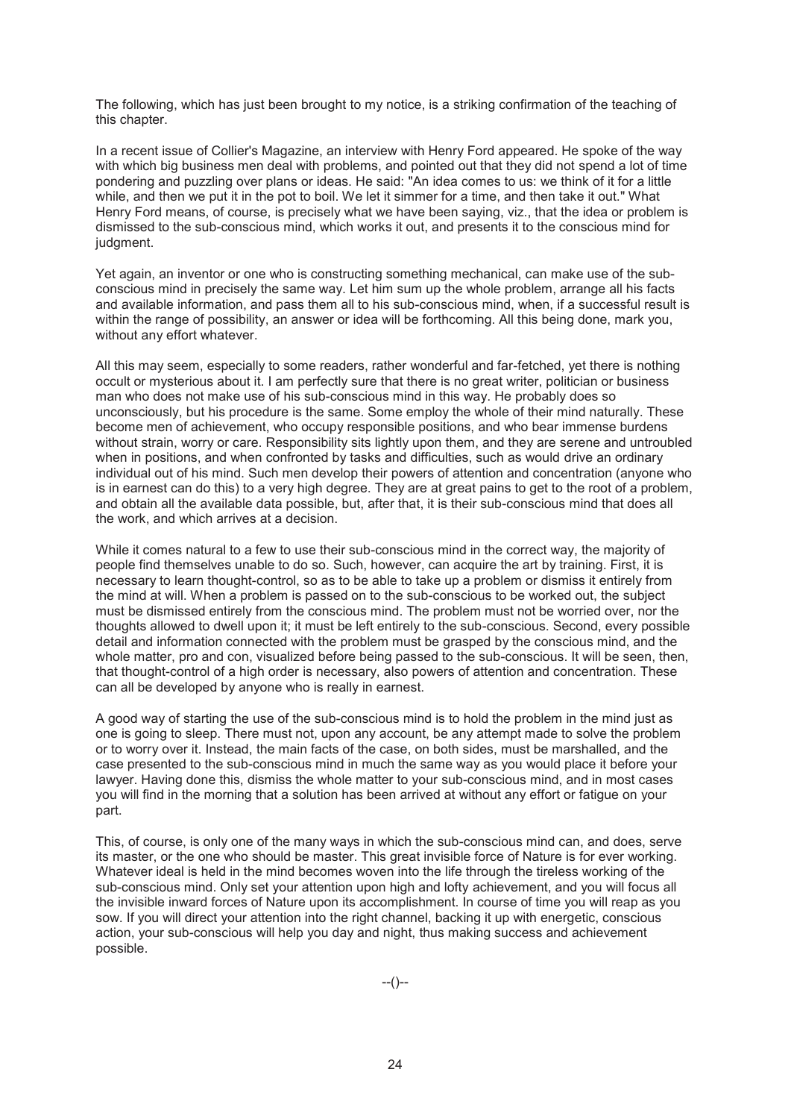The following, which has just been brought to my notice, is a striking confirmation of the teaching of this chapter.

In a recent issue of Collier's Magazine, an interview with Henry Ford appeared. He spoke of the way with which big business men deal with problems, and pointed out that they did not spend a lot of time pondering and puzzling over plans or ideas. He said: "An idea comes to us: we think of it for a little while, and then we put it in the pot to boil. We let it simmer for a time, and then take it out." What Henry Ford means, of course, is precisely what we have been saying, viz., that the idea or problem is dismissed to the sub-conscious mind, which works it out, and presents it to the conscious mind for judgment.

Yet again, an inventor or one who is constructing something mechanical, can make use of the subconscious mind in precisely the same way. Let him sum up the whole problem, arrange all his facts and available information, and pass them all to his sub-conscious mind, when, if a successful result is within the range of possibility, an answer or idea will be forthcoming. All this being done, mark you, without any effort whatever.

All this may seem, especially to some readers, rather wonderful and far-fetched, yet there is nothing occult or mysterious about it. I am perfectly sure that there is no great writer, politician or business man who does not make use of his sub-conscious mind in this way. He probably does so unconsciously, but his procedure is the same. Some employ the whole of their mind naturally. These become men of achievement, who occupy responsible positions, and who bear immense burdens without strain, worry or care. Responsibility sits lightly upon them, and they are serene and untroubled when in positions, and when confronted by tasks and difficulties, such as would drive an ordinary individual out of his mind. Such men develop their powers of attention and concentration (anyone who is in earnest can do this) to a very high degree. They are at great pains to get to the root of a problem, and obtain all the available data possible, but, after that, it is their sub-conscious mind that does all the work, and which arrives at a decision.

While it comes natural to a few to use their sub-conscious mind in the correct way, the majority of people find themselves unable to do so. Such, however, can acquire the art by training. First, it is necessary to learn thought-control, so as to be able to take up a problem or dismiss it entirely from the mind at will. When a problem is passed on to the sub-conscious to be worked out, the subject must be dismissed entirely from the conscious mind. The problem must not be worried over, nor the thoughts allowed to dwell upon it; it must be left entirely to the sub-conscious. Second, every possible detail and information connected with the problem must be grasped by the conscious mind, and the whole matter, pro and con, visualized before being passed to the sub-conscious. It will be seen, then, that thought-control of a high order is necessary, also powers of attention and concentration. These can all be developed by anyone who is really in earnest.

A good way of starting the use of the sub-conscious mind is to hold the problem in the mind just as one is going to sleep. There must not, upon any account, be any attempt made to solve the problem or to worry over it. Instead, the main facts of the case, on both sides, must be marshalled, and the case presented to the sub-conscious mind in much the same way as you would place it before your lawyer. Having done this, dismiss the whole matter to your sub-conscious mind, and in most cases you will find in the morning that a solution has been arrived at without any effort or fatigue on your part.

This, of course, is only one of the many ways in which the sub-conscious mind can, and does, serve its master, or the one who should be master. This great invisible force of Nature is for ever working. Whatever ideal is held in the mind becomes woven into the life through the tireless working of the sub-conscious mind. Only set your attention upon high and lofty achievement, and you will focus all the invisible inward forces of Nature upon its accomplishment. In course of time you will reap as you sow. If you will direct your attention into the right channel, backing it up with energetic, conscious action, your sub-conscious will help you day and night, thus making success and achievement possible.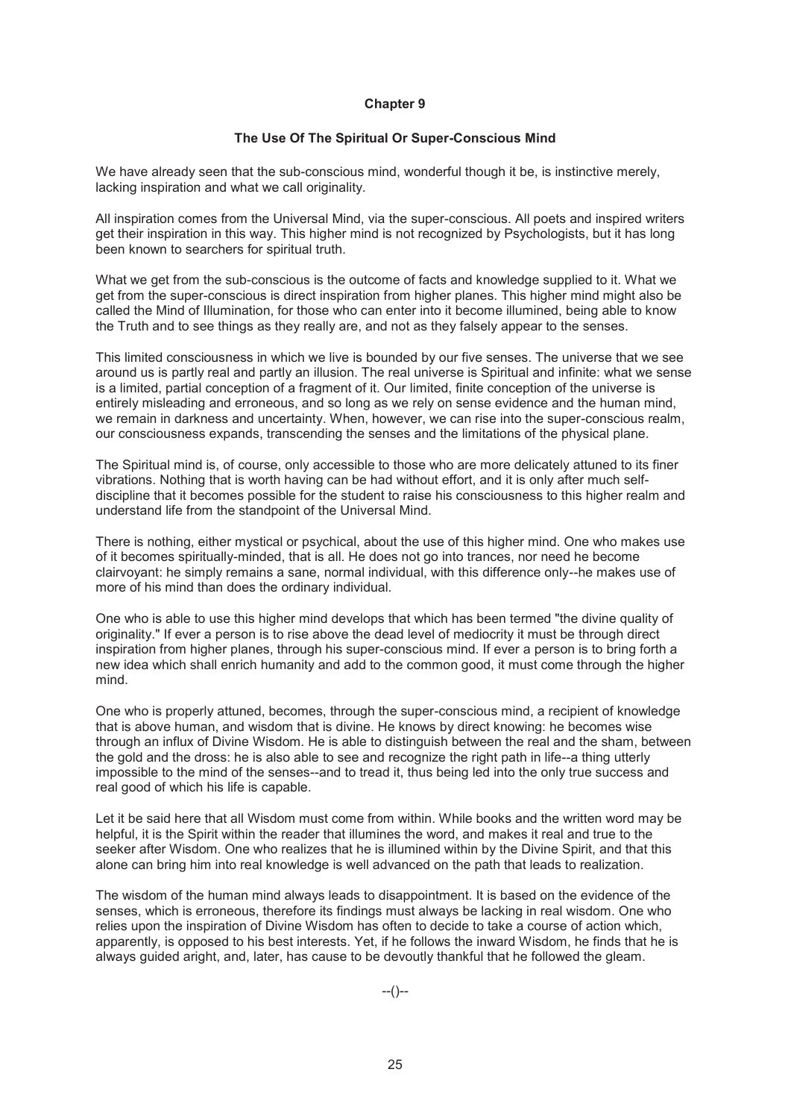#### **The Use Of The Spiritual Or Super-Conscious Mind**

We have already seen that the sub-conscious mind, wonderful though it be, is instinctive merely, lacking inspiration and what we call originality.

All inspiration comes from the Universal Mind, via the super-conscious. All poets and inspired writers get their inspiration in this way. This higher mind is not recognized by Psychologists, but it has long been known to searchers for spiritual truth.

What we get from the sub-conscious is the outcome of facts and knowledge supplied to it. What we get from the super-conscious is direct inspiration from higher planes. This higher mind might also be called the Mind of Illumination, for those who can enter into it become illumined, being able to know the Truth and to see things as they really are, and not as they falsely appear to the senses.

This limited consciousness in which we live is bounded by our five senses. The universe that we see around us is partly real and partly an illusion. The real universe is Spiritual and infinite: what we sense is a limited, partial conception of a fragment of it. Our limited, finite conception of the universe is entirely misleading and erroneous, and so long as we rely on sense evidence and the human mind, we remain in darkness and uncertainty. When, however, we can rise into the super-conscious realm, our consciousness expands, transcending the senses and the limitations of the physical plane.

The Spiritual mind is, of course, only accessible to those who are more delicately attuned to its finer vibrations. Nothing that is worth having can be had without effort, and it is only after much selfdiscipline that it becomes possible for the student to raise his consciousness to this higher realm and understand life from the standpoint of the Universal Mind.

There is nothing, either mystical or psychical, about the use of this higher mind. One who makes use of it becomes spiritually-minded, that is all. He does not go into trances, nor need he become clairvoyant: he simply remains a sane, normal individual, with this difference only--he makes use of more of his mind than does the ordinary individual.

One who is able to use this higher mind develops that which has been termed "the divine quality of originality." If ever a person is to rise above the dead level of mediocrity it must be through direct inspiration from higher planes, through his super-conscious mind. If ever a person is to bring forth a new idea which shall enrich humanity and add to the common good, it must come through the higher mind.

One who is properly attuned, becomes, through the super-conscious mind, a recipient of knowledge that is above human, and wisdom that is divine. He knows by direct knowing: he becomes wise through an influx of Divine Wisdom. He is able to distinguish between the real and the sham, between the gold and the dross: he is also able to see and recognize the right path in life--a thing utterly impossible to the mind of the senses--and to tread it, thus being led into the only true success and real good of which his life is capable.

Let it be said here that all Wisdom must come from within. While books and the written word may be helpful, it is the Spirit within the reader that illumines the word, and makes it real and true to the seeker after Wisdom. One who realizes that he is illumined within by the Divine Spirit, and that this alone can bring him into real knowledge is well advanced on the path that leads to realization.

The wisdom of the human mind always leads to disappointment. It is based on the evidence of the senses, which is erroneous, therefore its findings must always be lacking in real wisdom. One who relies upon the inspiration of Divine Wisdom has often to decide to take a course of action which, apparently, is opposed to his best interests. Yet, if he follows the inward Wisdom, he finds that he is always guided aright, and, later, has cause to be devoutly thankful that he followed the gleam.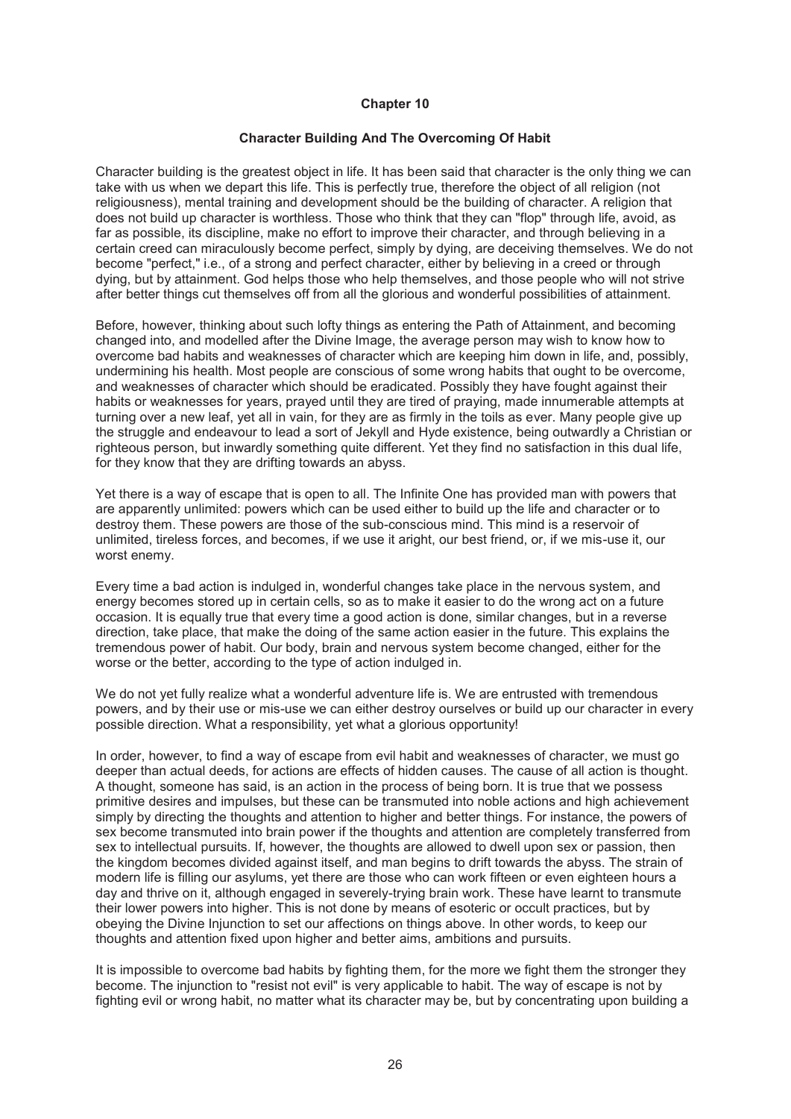#### **Character Building And The Overcoming Of Habit**

Character building is the greatest object in life. It has been said that character is the only thing we can take with us when we depart this life. This is perfectly true, therefore the object of all religion (not religiousness), mental training and development should be the building of character. A religion that does not build up character is worthless. Those who think that they can "flop" through life, avoid, as far as possible, its discipline, make no effort to improve their character, and through believing in a certain creed can miraculously become perfect, simply by dying, are deceiving themselves. We do not become "perfect," i.e., of a strong and perfect character, either by believing in a creed or through dying, but by attainment. God helps those who help themselves, and those people who will not strive after better things cut themselves off from all the glorious and wonderful possibilities of attainment.

Before, however, thinking about such lofty things as entering the Path of Attainment, and becoming changed into, and modelled after the Divine Image, the average person may wish to know how to overcome bad habits and weaknesses of character which are keeping him down in life, and, possibly, undermining his health. Most people are conscious of some wrong habits that ought to be overcome, and weaknesses of character which should be eradicated. Possibly they have fought against their habits or weaknesses for years, prayed until they are tired of praying, made innumerable attempts at turning over a new leaf, yet all in vain, for they are as firmly in the toils as ever. Many people give up the struggle and endeavour to lead a sort of Jekyll and Hyde existence, being outwardly a Christian or righteous person, but inwardly something quite different. Yet they find no satisfaction in this dual life, for they know that they are drifting towards an abyss.

Yet there is a way of escape that is open to all. The Infinite One has provided man with powers that are apparently unlimited: powers which can be used either to build up the life and character or to destroy them. These powers are those of the sub-conscious mind. This mind is a reservoir of unlimited, tireless forces, and becomes, if we use it aright, our best friend, or, if we mis-use it, our worst enemy.

Every time a bad action is indulged in, wonderful changes take place in the nervous system, and energy becomes stored up in certain cells, so as to make it easier to do the wrong act on a future occasion. It is equally true that every time a good action is done, similar changes, but in a reverse direction, take place, that make the doing of the same action easier in the future. This explains the tremendous power of habit. Our body, brain and nervous system become changed, either for the worse or the better, according to the type of action indulged in.

We do not yet fully realize what a wonderful adventure life is. We are entrusted with tremendous powers, and by their use or mis-use we can either destroy ourselves or build up our character in every possible direction. What a responsibility, yet what a glorious opportunity!

In order, however, to find a way of escape from evil habit and weaknesses of character, we must go deeper than actual deeds, for actions are effects of hidden causes. The cause of all action is thought. A thought, someone has said, is an action in the process of being born. It is true that we possess primitive desires and impulses, but these can be transmuted into noble actions and high achievement simply by directing the thoughts and attention to higher and better things. For instance, the powers of sex become transmuted into brain power if the thoughts and attention are completely transferred from sex to intellectual pursuits. If, however, the thoughts are allowed to dwell upon sex or passion, then the kingdom becomes divided against itself, and man begins to drift towards the abyss. The strain of modern life is filling our asylums, yet there are those who can work fifteen or even eighteen hours a day and thrive on it, although engaged in severely-trying brain work. These have learnt to transmute their lower powers into higher. This is not done by means of esoteric or occult practices, but by obeying the Divine Injunction to set our affections on things above. In other words, to keep our thoughts and attention fixed upon higher and better aims, ambitions and pursuits.

It is impossible to overcome bad habits by fighting them, for the more we fight them the stronger they become. The injunction to "resist not evil" is very applicable to habit. The way of escape is not by fighting evil or wrong habit, no matter what its character may be, but by concentrating upon building a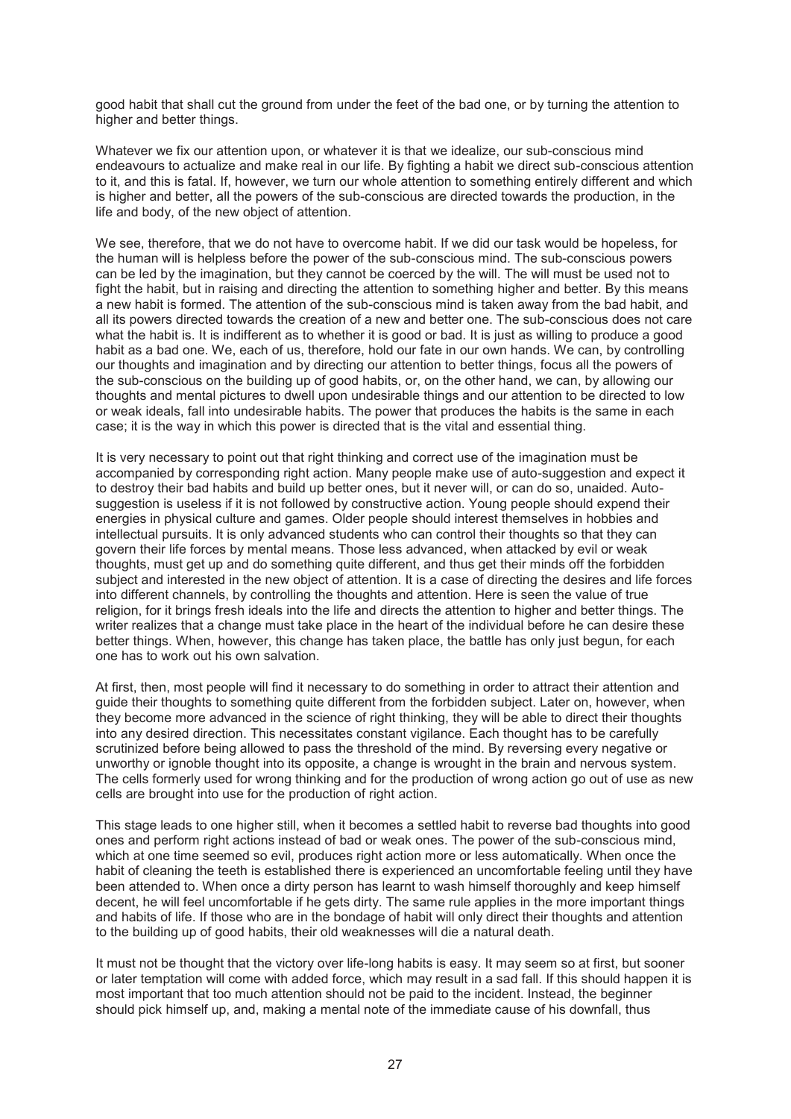good habit that shall cut the ground from under the feet of the bad one, or by turning the attention to higher and better things.

Whatever we fix our attention upon, or whatever it is that we idealize, our sub-conscious mind endeavours to actualize and make real in our life. By fighting a habit we direct sub-conscious attention to it, and this is fatal. If, however, we turn our whole attention to something entirely different and which is higher and better, all the powers of the sub-conscious are directed towards the production, in the life and body, of the new object of attention.

We see, therefore, that we do not have to overcome habit. If we did our task would be hopeless, for the human will is helpless before the power of the sub-conscious mind. The sub-conscious powers can be led by the imagination, but they cannot be coerced by the will. The will must be used not to fight the habit, but in raising and directing the attention to something higher and better. By this means a new habit is formed. The attention of the sub-conscious mind is taken away from the bad habit, and all its powers directed towards the creation of a new and better one. The sub-conscious does not care what the habit is. It is indifferent as to whether it is good or bad. It is just as willing to produce a good habit as a bad one. We, each of us, therefore, hold our fate in our own hands. We can, by controlling our thoughts and imagination and by directing our attention to better things, focus all the powers of the sub-conscious on the building up of good habits, or, on the other hand, we can, by allowing our thoughts and mental pictures to dwell upon undesirable things and our attention to be directed to low or weak ideals, fall into undesirable habits. The power that produces the habits is the same in each case; it is the way in which this power is directed that is the vital and essential thing.

It is very necessary to point out that right thinking and correct use of the imagination must be accompanied by corresponding right action. Many people make use of auto-suggestion and expect it to destroy their bad habits and build up better ones, but it never will, or can do so, unaided. Autosuggestion is useless if it is not followed by constructive action. Young people should expend their energies in physical culture and games. Older people should interest themselves in hobbies and intellectual pursuits. It is only advanced students who can control their thoughts so that they can govern their life forces by mental means. Those less advanced, when attacked by evil or weak thoughts, must get up and do something quite different, and thus get their minds off the forbidden subject and interested in the new object of attention. It is a case of directing the desires and life forces into different channels, by controlling the thoughts and attention. Here is seen the value of true religion, for it brings fresh ideals into the life and directs the attention to higher and better things. The writer realizes that a change must take place in the heart of the individual before he can desire these better things. When, however, this change has taken place, the battle has only just begun, for each one has to work out his own salvation.

At first, then, most people will find it necessary to do something in order to attract their attention and guide their thoughts to something quite different from the forbidden subject. Later on, however, when they become more advanced in the science of right thinking, they will be able to direct their thoughts into any desired direction. This necessitates constant vigilance. Each thought has to be carefully scrutinized before being allowed to pass the threshold of the mind. By reversing every negative or unworthy or ignoble thought into its opposite, a change is wrought in the brain and nervous system. The cells formerly used for wrong thinking and for the production of wrong action go out of use as new cells are brought into use for the production of right action.

This stage leads to one higher still, when it becomes a settled habit to reverse bad thoughts into good ones and perform right actions instead of bad or weak ones. The power of the sub-conscious mind, which at one time seemed so evil, produces right action more or less automatically. When once the habit of cleaning the teeth is established there is experienced an uncomfortable feeling until they have been attended to. When once a dirty person has learnt to wash himself thoroughly and keep himself decent, he will feel uncomfortable if he gets dirty. The same rule applies in the more important things and habits of life. If those who are in the bondage of habit will only direct their thoughts and attention to the building up of good habits, their old weaknesses will die a natural death.

It must not be thought that the victory over life-long habits is easy. It may seem so at first, but sooner or later temptation will come with added force, which may result in a sad fall. If this should happen it is most important that too much attention should not be paid to the incident. Instead, the beginner should pick himself up, and, making a mental note of the immediate cause of his downfall, thus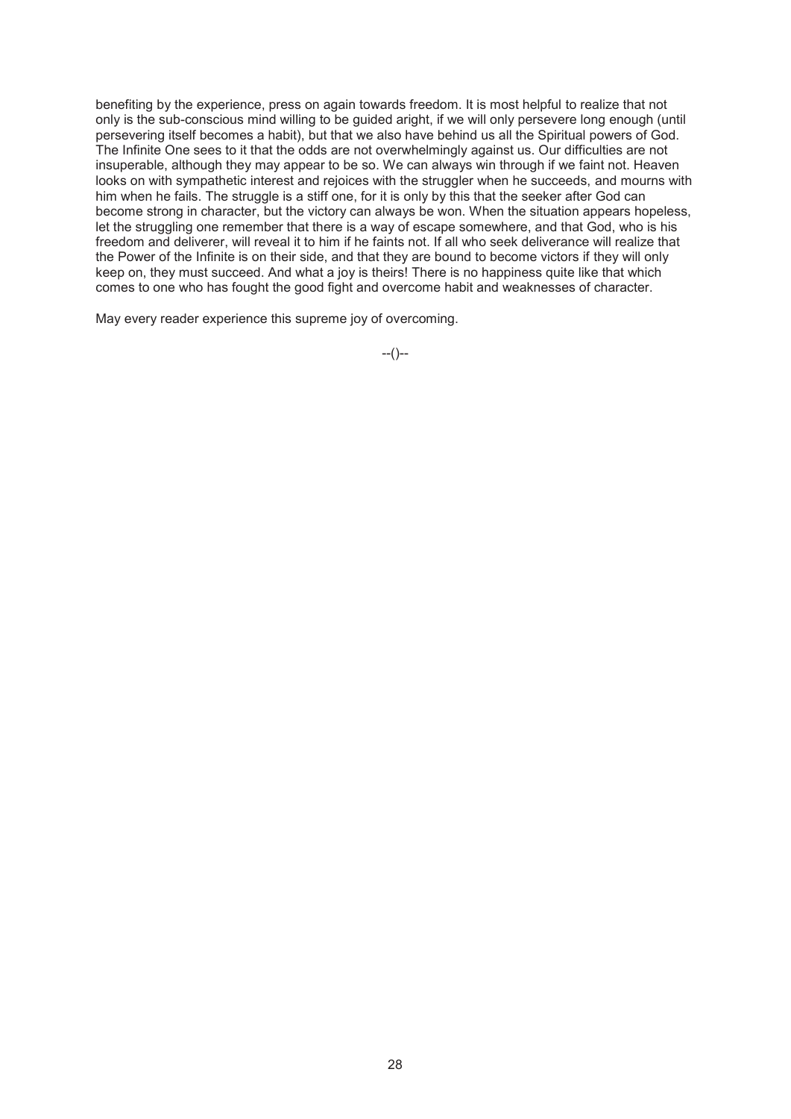benefiting by the experience, press on again towards freedom. It is most helpful to realize that not only is the sub-conscious mind willing to be guided aright, if we will only persevere long enough (until persevering itself becomes a habit), but that we also have behind us all the Spiritual powers of God. The Infinite One sees to it that the odds are not overwhelmingly against us. Our difficulties are not insuperable, although they may appear to be so. We can always win through if we faint not. Heaven looks on with sympathetic interest and rejoices with the struggler when he succeeds, and mourns with him when he fails. The struggle is a stiff one, for it is only by this that the seeker after God can become strong in character, but the victory can always be won. When the situation appears hopeless, let the struggling one remember that there is a way of escape somewhere, and that God, who is his freedom and deliverer, will reveal it to him if he faints not. If all who seek deliverance will realize that the Power of the Infinite is on their side, and that they are bound to become victors if they will only keep on, they must succeed. And what a joy is theirs! There is no happiness quite like that which comes to one who has fought the good fight and overcome habit and weaknesses of character.

May every reader experience this supreme joy of overcoming.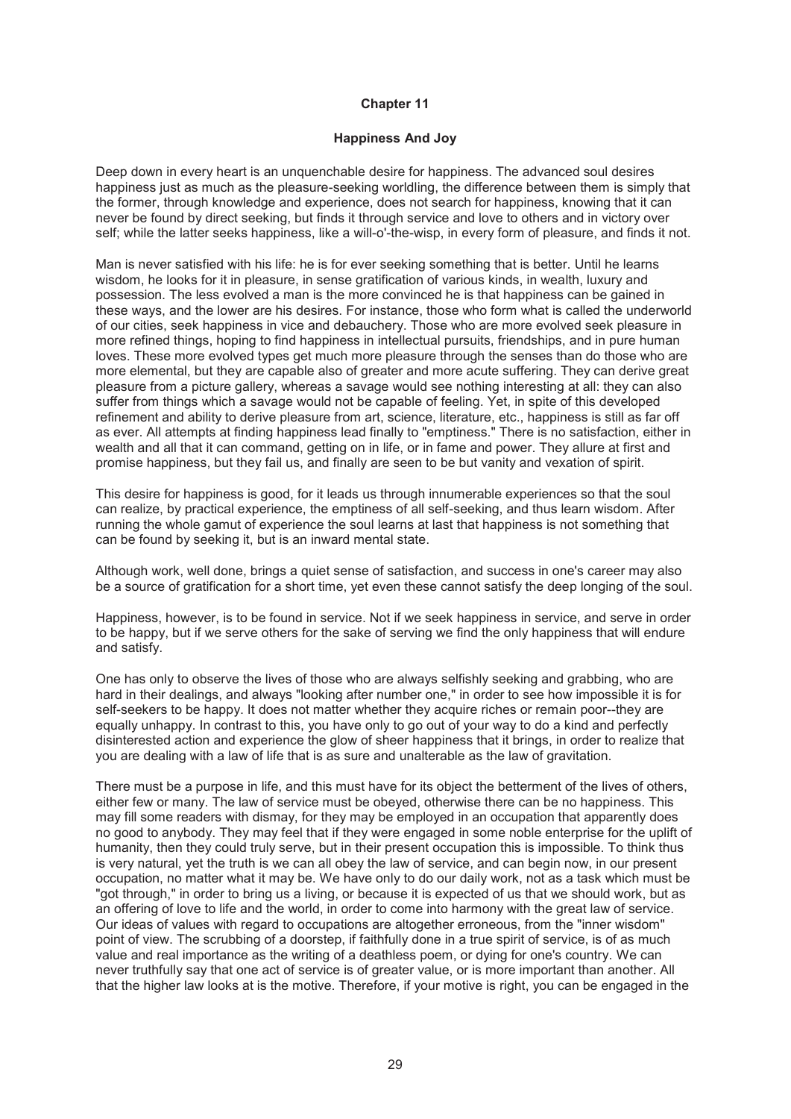#### **Happiness And Joy**

Deep down in every heart is an unquenchable desire for happiness. The advanced soul desires happiness just as much as the pleasure-seeking worldling, the difference between them is simply that the former, through knowledge and experience, does not search for happiness, knowing that it can never be found by direct seeking, but finds it through service and love to others and in victory over self; while the latter seeks happiness, like a will-o'-the-wisp, in every form of pleasure, and finds it not.

Man is never satisfied with his life: he is for ever seeking something that is better. Until he learns wisdom, he looks for it in pleasure, in sense gratification of various kinds, in wealth, luxury and possession. The less evolved a man is the more convinced he is that happiness can be gained in these ways, and the lower are his desires. For instance, those who form what is called the underworld of our cities, seek happiness in vice and debauchery. Those who are more evolved seek pleasure in more refined things, hoping to find happiness in intellectual pursuits, friendships, and in pure human loves. These more evolved types get much more pleasure through the senses than do those who are more elemental, but they are capable also of greater and more acute suffering. They can derive great pleasure from a picture gallery, whereas a savage would see nothing interesting at all: they can also suffer from things which a savage would not be capable of feeling. Yet, in spite of this developed refinement and ability to derive pleasure from art, science, literature, etc., happiness is still as far off as ever. All attempts at finding happiness lead finally to "emptiness." There is no satisfaction, either in wealth and all that it can command, getting on in life, or in fame and power. They allure at first and promise happiness, but they fail us, and finally are seen to be but vanity and vexation of spirit.

This desire for happiness is good, for it leads us through innumerable experiences so that the soul can realize, by practical experience, the emptiness of all self-seeking, and thus learn wisdom. After running the whole gamut of experience the soul learns at last that happiness is not something that can be found by seeking it, but is an inward mental state.

Although work, well done, brings a quiet sense of satisfaction, and success in one's career may also be a source of gratification for a short time, yet even these cannot satisfy the deep longing of the soul.

Happiness, however, is to be found in service. Not if we seek happiness in service, and serve in order to be happy, but if we serve others for the sake of serving we find the only happiness that will endure and satisfy.

One has only to observe the lives of those who are always selfishly seeking and grabbing, who are hard in their dealings, and always "looking after number one," in order to see how impossible it is for self-seekers to be happy. It does not matter whether they acquire riches or remain poor--they are equally unhappy. In contrast to this, you have only to go out of your way to do a kind and perfectly disinterested action and experience the glow of sheer happiness that it brings, in order to realize that you are dealing with a law of life that is as sure and unalterable as the law of gravitation.

There must be a purpose in life, and this must have for its object the betterment of the lives of others, either few or many. The law of service must be obeyed, otherwise there can be no happiness. This may fill some readers with dismay, for they may be employed in an occupation that apparently does no good to anybody. They may feel that if they were engaged in some noble enterprise for the uplift of humanity, then they could truly serve, but in their present occupation this is impossible. To think thus is very natural, yet the truth is we can all obey the law of service, and can begin now, in our present occupation, no matter what it may be. We have only to do our daily work, not as a task which must be "got through," in order to bring us a living, or because it is expected of us that we should work, but as an offering of love to life and the world, in order to come into harmony with the great law of service. Our ideas of values with regard to occupations are altogether erroneous, from the "inner wisdom" point of view. The scrubbing of a doorstep, if faithfully done in a true spirit of service, is of as much value and real importance as the writing of a deathless poem, or dying for one's country. We can never truthfully say that one act of service is of greater value, or is more important than another. All that the higher law looks at is the motive. Therefore, if your motive is right, you can be engaged in the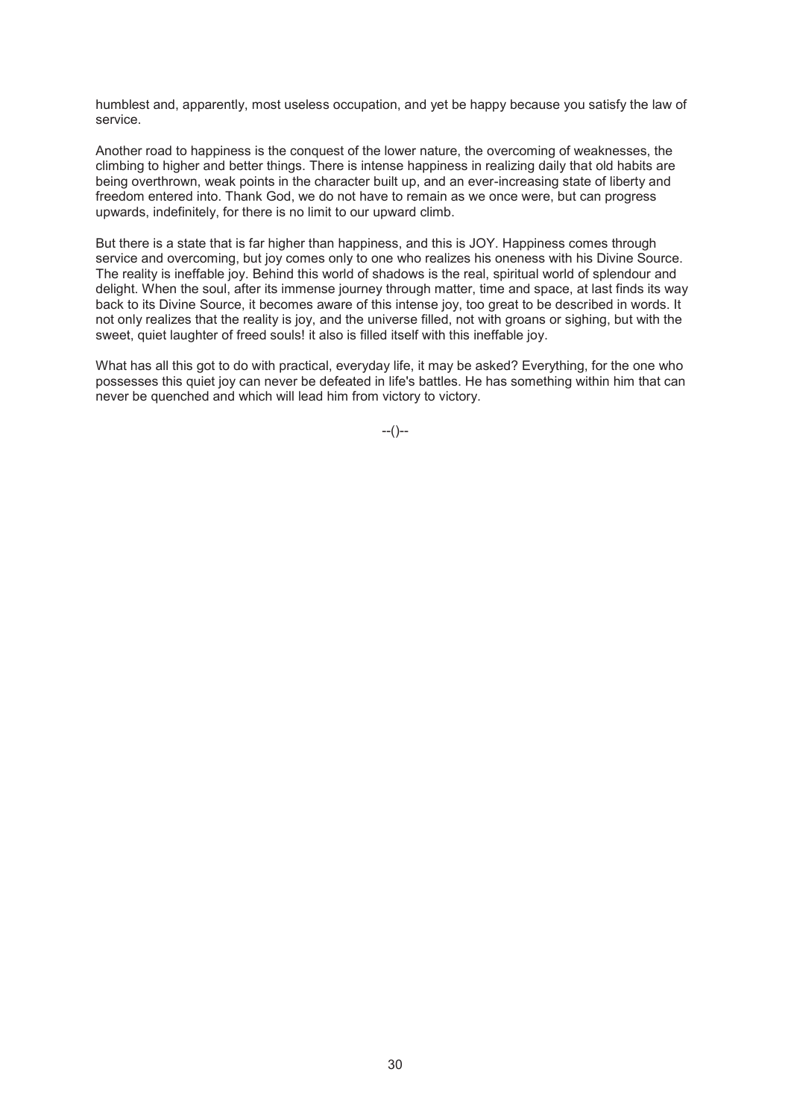humblest and, apparently, most useless occupation, and yet be happy because you satisfy the law of service.

Another road to happiness is the conquest of the lower nature, the overcoming of weaknesses, the climbing to higher and better things. There is intense happiness in realizing daily that old habits are being overthrown, weak points in the character built up, and an ever-increasing state of liberty and freedom entered into. Thank God, we do not have to remain as we once were, but can progress upwards, indefinitely, for there is no limit to our upward climb.

But there is a state that is far higher than happiness, and this is JOY. Happiness comes through service and overcoming, but joy comes only to one who realizes his oneness with his Divine Source. The reality is ineffable joy. Behind this world of shadows is the real, spiritual world of splendour and delight. When the soul, after its immense journey through matter, time and space, at last finds its way back to its Divine Source, it becomes aware of this intense joy, too great to be described in words. It not only realizes that the reality is joy, and the universe filled, not with groans or sighing, but with the sweet, quiet laughter of freed souls! it also is filled itself with this ineffable joy.

What has all this got to do with practical, everyday life, it may be asked? Everything, for the one who possesses this quiet joy can never be defeated in life's battles. He has something within him that can never be quenched and which will lead him from victory to victory.

 $-(-)$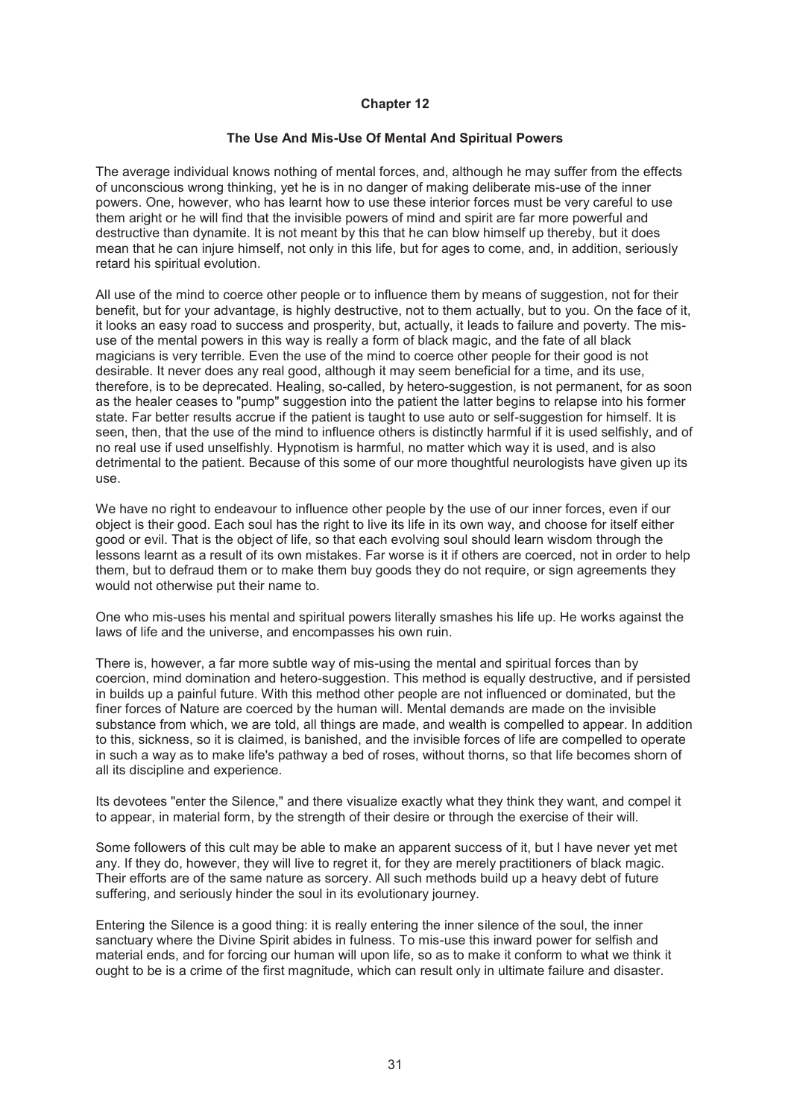# **The Use And Mis-Use Of Mental And Spiritual Powers**

The average individual knows nothing of mental forces, and, although he may suffer from the effects of unconscious wrong thinking, yet he is in no danger of making deliberate mis-use of the inner powers. One, however, who has learnt how to use these interior forces must be very careful to use them aright or he will find that the invisible powers of mind and spirit are far more powerful and destructive than dynamite. It is not meant by this that he can blow himself up thereby, but it does mean that he can injure himself, not only in this life, but for ages to come, and, in addition, seriously retard his spiritual evolution.

All use of the mind to coerce other people or to influence them by means of suggestion, not for their benefit, but for your advantage, is highly destructive, not to them actually, but to you. On the face of it, it looks an easy road to success and prosperity, but, actually, it leads to failure and poverty. The misuse of the mental powers in this way is really a form of black magic, and the fate of all black magicians is very terrible. Even the use of the mind to coerce other people for their good is not desirable. It never does any real good, although it may seem beneficial for a time, and its use, therefore, is to be deprecated. Healing, so-called, by hetero-suggestion, is not permanent, for as soon as the healer ceases to "pump" suggestion into the patient the latter begins to relapse into his former state. Far better results accrue if the patient is taught to use auto or self-suggestion for himself. It is seen, then, that the use of the mind to influence others is distinctly harmful if it is used selfishly, and of no real use if used unselfishly. Hypnotism is harmful, no matter which way it is used, and is also detrimental to the patient. Because of this some of our more thoughtful neurologists have given up its use.

We have no right to endeavour to influence other people by the use of our inner forces, even if our object is their good. Each soul has the right to live its life in its own way, and choose for itself either good or evil. That is the object of life, so that each evolving soul should learn wisdom through the lessons learnt as a result of its own mistakes. Far worse is it if others are coerced, not in order to help them, but to defraud them or to make them buy goods they do not require, or sign agreements they would not otherwise put their name to.

One who mis-uses his mental and spiritual powers literally smashes his life up. He works against the laws of life and the universe, and encompasses his own ruin.

There is, however, a far more subtle way of mis-using the mental and spiritual forces than by coercion, mind domination and hetero-suggestion. This method is equally destructive, and if persisted in builds up a painful future. With this method other people are not influenced or dominated, but the finer forces of Nature are coerced by the human will. Mental demands are made on the invisible substance from which, we are told, all things are made, and wealth is compelled to appear. In addition to this, sickness, so it is claimed, is banished, and the invisible forces of life are compelled to operate in such a way as to make life's pathway a bed of roses, without thorns, so that life becomes shorn of all its discipline and experience.

Its devotees "enter the Silence," and there visualize exactly what they think they want, and compel it to appear, in material form, by the strength of their desire or through the exercise of their will.

Some followers of this cult may be able to make an apparent success of it, but I have never yet met any. If they do, however, they will live to regret it, for they are merely practitioners of black magic. Their efforts are of the same nature as sorcery. All such methods build up a heavy debt of future suffering, and seriously hinder the soul in its evolutionary journey.

Entering the Silence is a good thing: it is really entering the inner silence of the soul, the inner sanctuary where the Divine Spirit abides in fulness. To mis-use this inward power for selfish and material ends, and for forcing our human will upon life, so as to make it conform to what we think it ought to be is a crime of the first magnitude, which can result only in ultimate failure and disaster.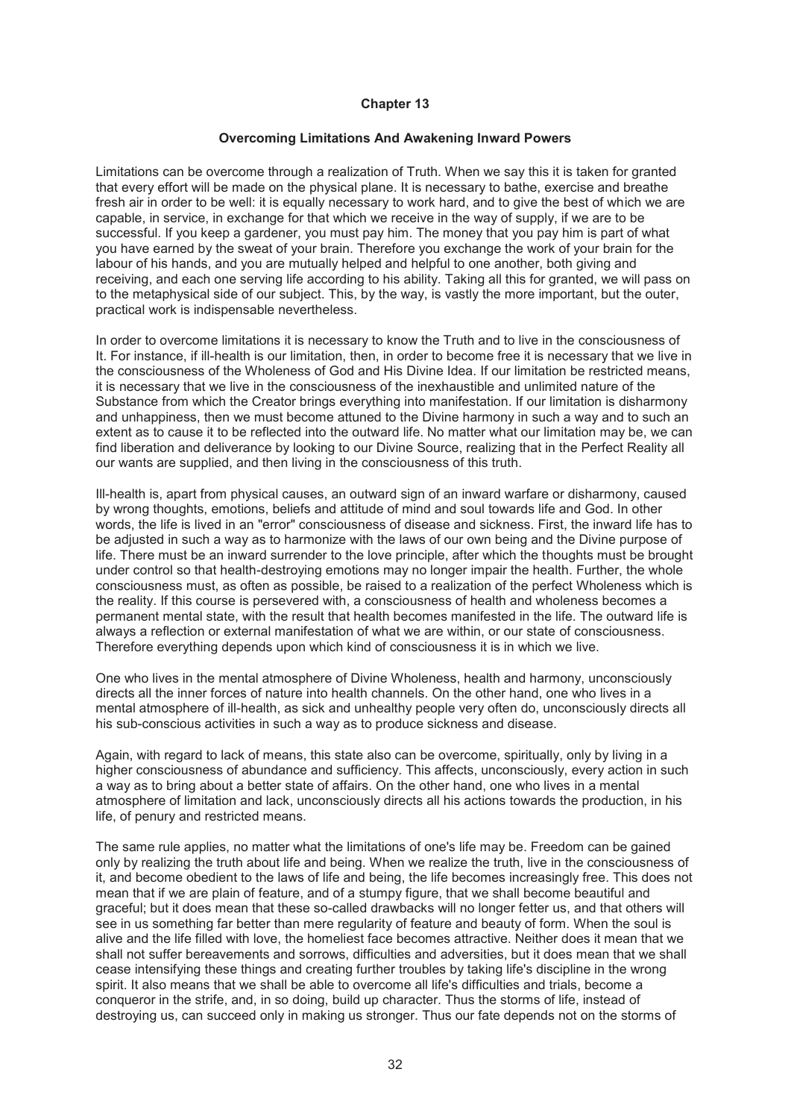#### **Overcoming Limitations And Awakening Inward Powers**

Limitations can be overcome through a realization of Truth. When we say this it is taken for granted that every effort will be made on the physical plane. It is necessary to bathe, exercise and breathe fresh air in order to be well: it is equally necessary to work hard, and to give the best of which we are capable, in service, in exchange for that which we receive in the way of supply, if we are to be successful. If you keep a gardener, you must pay him. The money that you pay him is part of what you have earned by the sweat of your brain. Therefore you exchange the work of your brain for the labour of his hands, and you are mutually helped and helpful to one another, both giving and receiving, and each one serving life according to his ability. Taking all this for granted, we will pass on to the metaphysical side of our subject. This, by the way, is vastly the more important, but the outer, practical work is indispensable nevertheless.

In order to overcome limitations it is necessary to know the Truth and to live in the consciousness of It. For instance, if ill-health is our limitation, then, in order to become free it is necessary that we live in the consciousness of the Wholeness of God and His Divine Idea. If our limitation be restricted means, it is necessary that we live in the consciousness of the inexhaustible and unlimited nature of the Substance from which the Creator brings everything into manifestation. If our limitation is disharmony and unhappiness, then we must become attuned to the Divine harmony in such a way and to such an extent as to cause it to be reflected into the outward life. No matter what our limitation may be, we can find liberation and deliverance by looking to our Divine Source, realizing that in the Perfect Reality all our wants are supplied, and then living in the consciousness of this truth.

Ill-health is, apart from physical causes, an outward sign of an inward warfare or disharmony, caused by wrong thoughts, emotions, beliefs and attitude of mind and soul towards life and God. In other words, the life is lived in an "error" consciousness of disease and sickness. First, the inward life has to be adjusted in such a way as to harmonize with the laws of our own being and the Divine purpose of life. There must be an inward surrender to the love principle, after which the thoughts must be brought under control so that health-destroying emotions may no longer impair the health. Further, the whole consciousness must, as often as possible, be raised to a realization of the perfect Wholeness which is the reality. If this course is persevered with, a consciousness of health and wholeness becomes a permanent mental state, with the result that health becomes manifested in the life. The outward life is always a reflection or external manifestation of what we are within, or our state of consciousness. Therefore everything depends upon which kind of consciousness it is in which we live.

One who lives in the mental atmosphere of Divine Wholeness, health and harmony, unconsciously directs all the inner forces of nature into health channels. On the other hand, one who lives in a mental atmosphere of ill-health, as sick and unhealthy people very often do, unconsciously directs all his sub-conscious activities in such a way as to produce sickness and disease.

Again, with regard to lack of means, this state also can be overcome, spiritually, only by living in a higher consciousness of abundance and sufficiency. This affects, unconsciously, every action in such a way as to bring about a better state of affairs. On the other hand, one who lives in a mental atmosphere of limitation and lack, unconsciously directs all his actions towards the production, in his life, of penury and restricted means.

The same rule applies, no matter what the limitations of one's life may be. Freedom can be gained only by realizing the truth about life and being. When we realize the truth, live in the consciousness of it, and become obedient to the laws of life and being, the life becomes increasingly free. This does not mean that if we are plain of feature, and of a stumpy figure, that we shall become beautiful and graceful; but it does mean that these so-called drawbacks will no longer fetter us, and that others will see in us something far better than mere regularity of feature and beauty of form. When the soul is alive and the life filled with love, the homeliest face becomes attractive. Neither does it mean that we shall not suffer bereavements and sorrows, difficulties and adversities, but it does mean that we shall cease intensifying these things and creating further troubles by taking life's discipline in the wrong spirit. It also means that we shall be able to overcome all life's difficulties and trials, become a conqueror in the strife, and, in so doing, build up character. Thus the storms of life, instead of destroying us, can succeed only in making us stronger. Thus our fate depends not on the storms of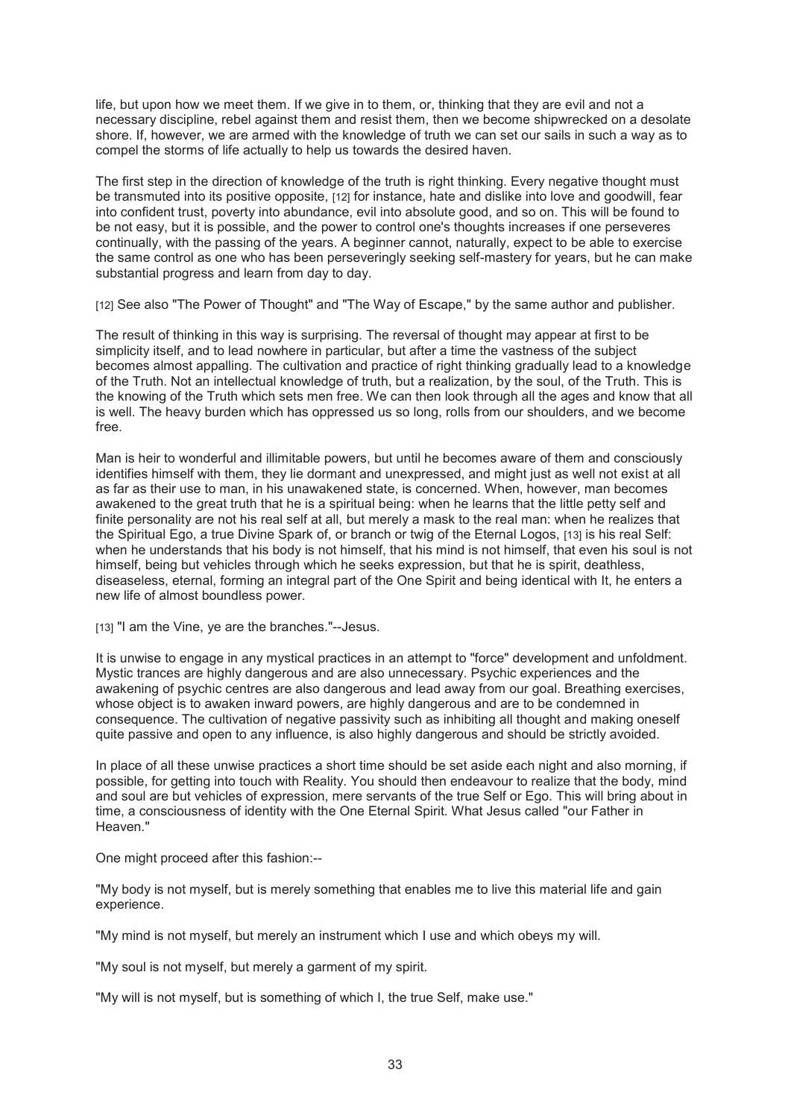life, but upon how we meet them. If we give in to them, or, thinking that they are evil and not a necessary discipline, rebel against them and resist them, then we become shipwrecked on a desolate shore. If, however, we are armed with the knowledge of truth we can set our sails in such a way as to compel the storms of life actually to help us towards the desired haven.

The first step in the direction of knowledge of the truth is right thinking. Every negative thought must be transmuted into its positive opposite, [12] for instance, hate and dislike into love and goodwill, fear into confident trust, poverty into abundance, evil into absolute good, and so on. This will be found to be not easy, but it is possible, and the power to control one's thoughts increases if one perseveres continually, with the passing of the years. A beginner cannot, naturally, expect to be able to exercise the same control as one who has been perseveringly seeking self-mastery for years, but he can make substantial progress and learn from day to day.

[12] See also "The Power of Thought" and "The Way of Escape," by the same author and publisher.

The result of thinking in this way is surprising. The reversal of thought may appear at first to be simplicity itself, and to lead nowhere in particular, but after a time the vastness of the subject becomes almost appalling. The cultivation and practice of right thinking gradually lead to a knowledge of the Truth. Not an intellectual knowledge of truth, but a realization, by the soul, of the Truth. This is the knowing of the Truth which sets men free. We can then look through all the ages and know that all is well. The heavy burden which has oppressed us so long, rolls from our shoulders, and we become free.

Man is heir to wonderful and illimitable powers, but until he becomes aware of them and consciously identifies himself with them, they lie dormant and unexpressed, and might just as well not exist at all as far as their use to man, in his unawakened state, is concerned. When, however, man becomes awakened to the great truth that he is a spiritual being: when he learns that the little petty self and finite personality are not his real self at all, but merely a mask to the real man: when he realizes that the Spiritual Ego, a true Divine Spark of, or branch or twig of the Eternal Logos, [13] is his real Self: when he understands that his body is not himself, that his mind is not himself, that even his soul is not himself, being but vehicles through which he seeks expression, but that he is spirit, deathless, diseaseless, eternal, forming an integral part of the One Spirit and being identical with It, he enters a new life of almost boundless power.

[13] "I am the Vine, ye are the branches."--Jesus.

It is unwise to engage in any mystical practices in an attempt to "force" development and unfoldment. Mystic trances are highly dangerous and are also unnecessary. Psychic experiences and the awakening of psychic centres are also dangerous and lead away from our goal. Breathing exercises, whose object is to awaken inward powers, are highly dangerous and are to be condemned in consequence. The cultivation of negative passivity such as inhibiting all thought and making oneself quite passive and open to any influence, is also highly dangerous and should be strictly avoided.

In place of all these unwise practices a short time should be set aside each night and also morning, if possible, for getting into touch with Reality. You should then endeavour to realize that the body, mind and soul are but vehicles of expression, mere servants of the true Self or Ego. This will bring about in time, a consciousness of identity with the One Eternal Spirit. What Jesus called "our Father in Heaven."

One might proceed after this fashion:--

"My body is not myself, but is merely something that enables me to live this material life and gain experience.

"My mind is not myself, but merely an instrument which I use and which obeys my will.

"My soul is not myself, but merely a garment of my spirit.

"My will is not myself, but is something of which I, the true Self, make use."